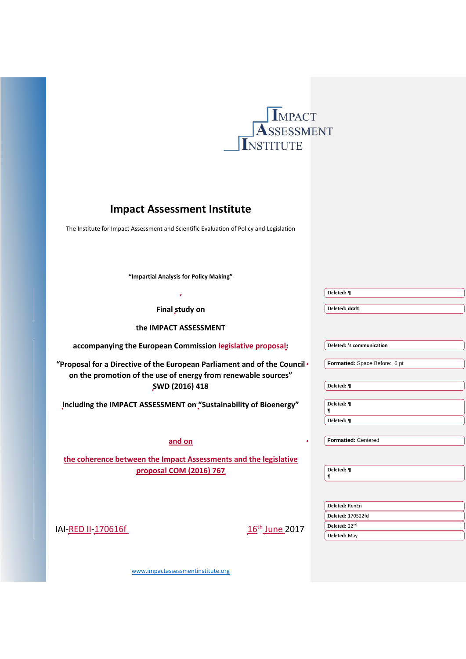

# **Impact Assessment Institute**

The Institute for Impact Assessment and Scientific Evaluation of Policy and Legislation

**"Impartial Analysis for Policy Making"**

|                                                                                                                                           | Deleted: ¶                                            |
|-------------------------------------------------------------------------------------------------------------------------------------------|-------------------------------------------------------|
| Final study on                                                                                                                            | Deleted: draft                                        |
| the IMPACT ASSESSMENT                                                                                                                     |                                                       |
| accompanying the European Commission legislative proposal:                                                                                | Deleted: 's communication                             |
| "Proposal for a Directive of the European Parliament and of the Council+<br>on the promotion of the use of energy from renewable sources" | Formatted: Space Before: 6 pt                         |
| SWD (2016) 418                                                                                                                            | Deleted: ¶                                            |
| jncluding the IMPACT ASSESSMENT on "Sustainability of Bioenergy"                                                                          | Deleted: ¶<br>1                                       |
|                                                                                                                                           | Deleted: ¶                                            |
| and on                                                                                                                                    | Formatted: Centered                                   |
| the coherence between the Impact Assessments and the legislative                                                                          |                                                       |
| proposal COM (2016) 767                                                                                                                   | Deleted: ¶<br>1                                       |
|                                                                                                                                           |                                                       |
|                                                                                                                                           | Deleted: RenEn                                        |
| <u>16<sup>th</sup> June</u> 2017<br>IAI-RED II-170616f                                                                                    | <b>Deleted: 170522fd</b><br>Deleted: 22 <sup>nd</sup> |
|                                                                                                                                           | Deleted: May                                          |

[www.impactassessmentinstitute.org](http://www.impactassessmentinstitute.org/)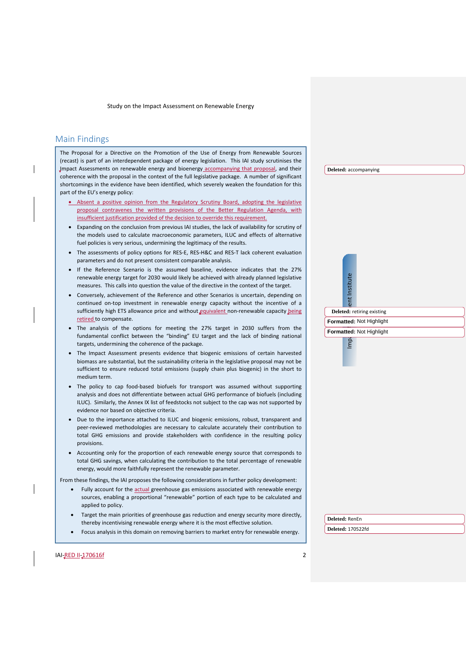# <span id="page-1-0"></span>Main Findings

The Proposal for a Directive on the Promotion of the Use of Energy from Renewable Sources (recast) is part of an interdependent package of energy legislation. This IAI study scrutinises the Impact Assessments on renewable energy and bioenergy accompanying that proposal, and their coherence with the proposal in the context of the full legislative package. A number of significant shortcomings in the evidence have been identified, which severely weaken the foundation for this part of the EU's energy policy:

- Absent a positive opinion from the Regulatory Scrutiny Board, adopting the legislative proposal contravenes the written provisions of the Better Regulation Agenda, with insufficient justification provided of the decision to override this requirement.
- Expanding on the conclusion from previous IAI studies, the lack of availability for scrutiny of the models used to calculate macroeconomic parameters, ILUC and effects of alternative fuel policies is very serious, undermining the legitimacy of the results.
- The assessments of policy options for RES-E, RES-H&C and RES-T lack coherent evaluation parameters and do not present consistent comparable analysis.
- If the Reference Scenario is the assumed baseline, evidence indicates that the 27% renewable energy target for 2030 would likely be achieved with already planned legislative measures. This calls into question the value of the directive in the context of the target.
- Conversely, achievement of the Reference and other Scenarios is uncertain, depending on continued on-top investment in renewable energy capacity without the incentive of a sufficiently high ETS allowance price and without equivalent non-renewable capacity being retired to compensate.
- The analysis of the options for meeting the 27% target in 2030 suffers from the fundamental conflict between the "binding" EU target and the lack of binding national targets, undermining the coherence of the package.
- The Impact Assessment presents evidence that biogenic emissions of certain harvested biomass are substantial, but the sustainability criteria in the legislative proposal may not be sufficient to ensure reduced total emissions (supply chain plus biogenic) in the short to medium term.
- The policy to cap food-based biofuels for transport was assumed without supporting analysis and does not differentiate between actual GHG performance of biofuels (including ILUC). Similarly, the Annex IX list of feedstocks not subject to the cap was not supported by evidence nor based on objective criteria.
- Due to the importance attached to ILUC and biogenic emissions, robust, transparent and peer-reviewed methodologies are necessary to calculate accurately their contribution to total GHG emissions and provide stakeholders with confidence in the resulting policy provisions.
- Accounting only for the proportion of each renewable energy source that corresponds to total GHG savings, when calculating the contribution to the total percentage of renewable energy, would more faithfully represent the renewable parameter.

From these findings, the IAI proposes the following considerations in further policy development:

- Fully account for the actual greenhouse gas emissions associated with renewable energy sources, enabling a proportional "renewable" portion of each type to be calculated and applied to policy.
- Target the main priorities of greenhouse gas reduction and energy security more directly, thereby incentivising renewable energy where it is the most effective solution.
- Focus analysis in this domain on removing barriers to market entry for renewable energy.

**Deleted:** accompanying

 $Imp_i \overset{\sim}{\approx}$   $\mid \overset{\sim}{\approx} \mid \overset{\sim}{\approx}$  lent Institute **Deleted:** retiring existing

# **Formatted:** Not Highlight

Institute

#### **Formatted:** Not Highlight

lmp

**Deleted:** RenEn

**Deleted:** 170522fd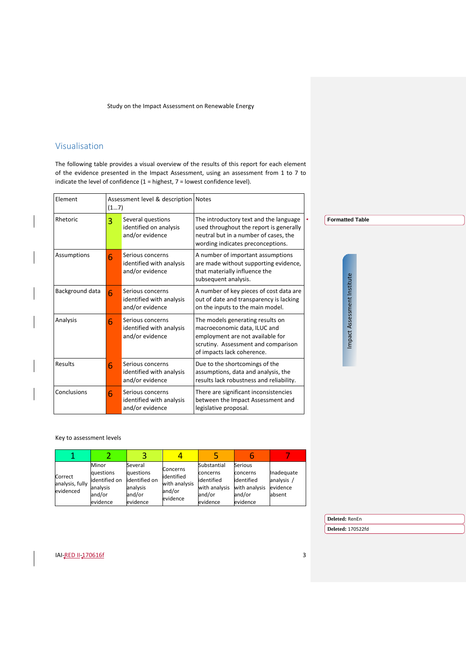# <span id="page-2-0"></span>Visualisation

The following table provides a visual overview of the results of this report for each element of the evidence presented in the Impact Assessment, using an assessment from 1 to 7 to indicate the level of confidence (1 = highest, 7 = lowest confidence level).

| Element         | Assessment level & description Notes<br>(17) |                                                                 |                                                                                                                                                                           |  |                             |
|-----------------|----------------------------------------------|-----------------------------------------------------------------|---------------------------------------------------------------------------------------------------------------------------------------------------------------------------|--|-----------------------------|
| Rhetoric        | 3                                            | Several questions<br>identified on analysis<br>and/or evidence  | The introductory text and the language<br>used throughout the report is generally<br>neutral but in a number of cases, the<br>wording indicates preconceptions.           |  | <b>Formatted Table</b>      |
| Assumptions     | 6                                            | Serious concerns<br>identified with analysis<br>and/or evidence | A number of important assumptions<br>are made without supporting evidence,<br>that materially influence the<br>subsequent analysis.                                       |  |                             |
| Background data | 6                                            | Serious concerns<br>identified with analysis<br>and/or evidence | A number of key pieces of cost data are<br>out of date and transparency is lacking<br>on the inputs to the main model.                                                    |  |                             |
| Analysis        | 6                                            | Serious concerns<br>identified with analysis<br>and/or evidence | The models generating results on<br>macroeconomic data, ILUC and<br>employment are not available for<br>scrutiny. Assessment and comparison<br>of impacts lack coherence. |  | Impact Assessment Institute |
| Results         | 6                                            | Serious concerns<br>identified with analysis<br>and/or evidence | Due to the shortcomings of the<br>assumptions, data and analysis, the<br>results lack robustness and reliability.                                                         |  |                             |
| Conclusions     | 6                                            | Serious concerns<br>identified with analysis<br>and/or evidence | There are significant inconsistencies<br>between the Impact Assessment and<br>legislative proposal.                                                                       |  |                             |

Key to assessment levels

| Correct<br>analysis, fully<br>evidenced | Minor<br>questions<br>lidentified on<br>analysis<br>and/or<br>evidence | Several<br>questions<br>identified on<br>analysis<br>and/or<br>evidence | Concerns<br>lidentified<br>with analysis<br>and/or<br>evidence | Substantial<br>concerns<br>lidentified<br>with analysis<br>and/or<br>evidence | Serious<br>concerns<br>identified<br>with analysis<br>and/or<br>evidence | Inadequate<br>analysis /<br>evidence<br>absent |
|-----------------------------------------|------------------------------------------------------------------------|-------------------------------------------------------------------------|----------------------------------------------------------------|-------------------------------------------------------------------------------|--------------------------------------------------------------------------|------------------------------------------------|

**Deleted:** RenEn

**Deleted:** 170522fd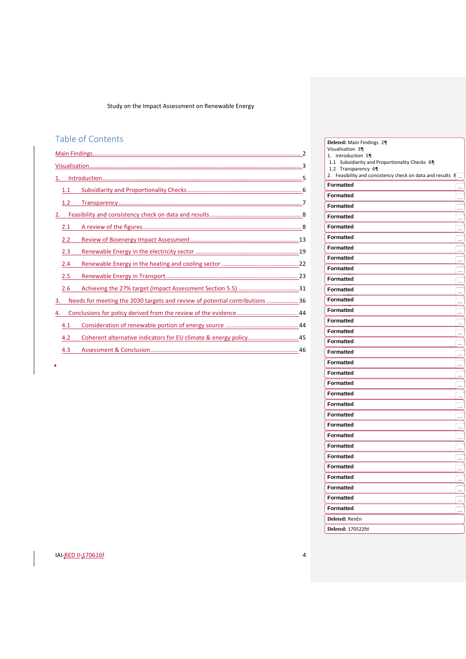# Table of Contents

| 1.1                                                                                |  |
|------------------------------------------------------------------------------------|--|
| 1.2                                                                                |  |
| 2.                                                                                 |  |
| 2.1                                                                                |  |
| 2.2                                                                                |  |
| 2.3                                                                                |  |
| 2.4                                                                                |  |
| 2.5                                                                                |  |
| 2.6                                                                                |  |
| Needs for meeting the 2030 targets and review of potential contributions  36<br>3. |  |
| 4.                                                                                 |  |
| 4.1                                                                                |  |
| 4.2                                                                                |  |
| 4.3                                                                                |  |
|                                                                                    |  |

| Deleted: Main Findings 21<br>Visualisation 31                                             |                |
|-------------------------------------------------------------------------------------------|----------------|
| 1. Introduction 5                                                                         |                |
| 1.1 Subsidiarity and Proportionality Checks . 61                                          |                |
| 1.2 Transparency 6<br>2. Feasibility and consistency check on data and results $\sqrt{1}$ |                |
| <b>Formatted</b>                                                                          |                |
| <b>Formatted</b>                                                                          |                |
|                                                                                           | $\overline{ }$ |
| <b>Formatted</b>                                                                          | $\equiv$       |
| <b>Formatted</b>                                                                          | __ ا           |
| <b>Formatted</b>                                                                          | <u></u>        |
| <b>Formatted</b>                                                                          | i.<br>         |
| <b>Formatted</b>                                                                          | <br>           |
| <b>Formatted</b>                                                                          |                |
| <b>Formatted</b>                                                                          |                |
| <b>Formatted</b>                                                                          |                |
| <b>Formatted</b>                                                                          | ÷.             |
| <b>Formatted</b>                                                                          | $=$            |
| <b>Formatted</b>                                                                          | $\equiv$       |
| <b>Formatted</b>                                                                          | ÷.             |
| <b>Formatted</b>                                                                          | ÷              |
| <b>Formatted</b>                                                                          | $\equiv$       |
| <b>Formatted</b>                                                                          | ÷.             |
| <b>Formatted</b>                                                                          | ψ.             |
| <b>Formatted</b>                                                                          |                |
| <b>Formatted</b>                                                                          | ÷              |
| <b>Formatted</b>                                                                          | $\equiv$       |
| <b>Formatted</b>                                                                          | i.<br>Tur      |
| <b>Formatted</b>                                                                          | i.             |
| <b>Formatted</b>                                                                          | i.<br>Ta       |
| <b>Formatted</b>                                                                          | $\equiv$       |
| Formatted                                                                                 | $\ddotsc$      |
| <b>Formatted</b>                                                                          |                |
| Formatted                                                                                 |                |
| <b>Formatted</b>                                                                          | ÷              |
| <b>Formatted</b>                                                                          | ÷.             |
| <b>Formatted</b>                                                                          | ين.<br>پ       |
| <b>Formatted</b>                                                                          |                |
| Deleted: RenEn                                                                            |                |
| Deleted: 170522fd                                                                         |                |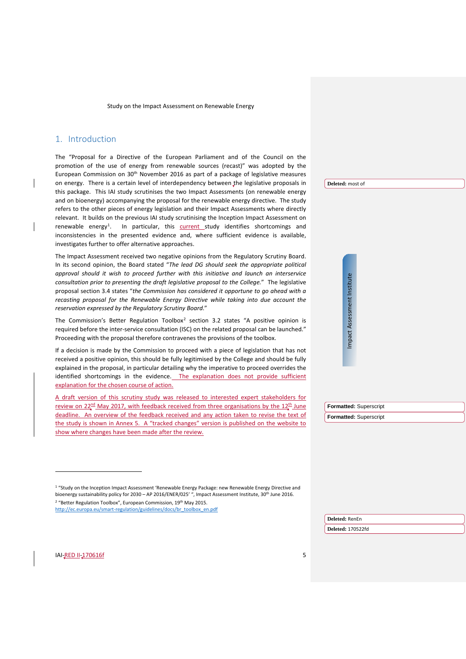# <span id="page-4-0"></span>1. Introduction

The "Proposal for a Directive of the European Parliament and of the Council on the promotion of the use of energy from renewable sources (recast)" was adopted by the European Commission on 30<sup>th</sup> November 2016 as part of a package of legislative measures on energy. There is a certain level of interdependency between the legislative proposals in this package. This IAI study scrutinises the two Impact Assessments (on renewable energy and on bioenergy) accompanying the proposal for the renewable energy directive. The study refers to the other pieces of energy legislation and their Impact Assessments where directly relevant. It builds on the previous IAI study scrutinising the Inception Impact Assessment on renewable energy<sup>[1](#page-4-1)</sup>. In particular, this **current** study identifies shortcomings and inconsistencies in the presented evidence and, where sufficient evidence is available, investigates further to offer alternative approaches.

The Impact Assessment received two negative opinions from the Regulatory Scrutiny Board. In its second opinion, the Board stated "*The lead DG should seek the appropriate political approval should it wish to proceed further with this initiative and launch an interservice consultation prior to presenting the draft legislative proposal to the College.*" The legislative proposal section 3.4 states "*the Commission has considered it opportune to go ahead with a recasting proposal for the Renewable Energy Directive while taking into due account the reservation expressed by the Regulatory Scrutiny Board*."

The Commission's Better Regulation Toolbox<sup>[2](#page-4-2)</sup> section 3.2 states "A positive opinion is required before the inter-service consultation (ISC) on the related proposal can be launched." Proceeding with the proposal therefore contravenes the provisions of the toolbox.

If a decision is made by the Commission to proceed with a piece of legislation that has not received a positive opinion, this should be fully legitimised by the College and should be fully explained in the proposal, in particular detailing why the imperative to proceed overrides the identified shortcomings in the evidence. The explanation does not provide sufficient explanation for the chosen course of action.

A draft version of this scrutiny study was released to interested expert stakeholders for review on  $22<sup>nd</sup>$  May 2017, with feedback received from three organisations by the  $12<sup>th</sup>$  June deadline. An overview of the feedback received and any action taken to revise the text of the study is shown in [Annex 5.](#page-50-0) A "tracked changes" version is published on the website to show where changes have been made after the review.

<sup>1</sup> "Study on the Inception Impact Assessment 'Renewable Energy Package: new Renewable Energy Directive and bioenergy sustainability policy for 2030 – AP 2016/ENER/025' ", Impact Assessment Institute, 30<sup>th</sup> June 2016. <sup>2</sup> "Better Regulation Toolbox", European Commission, 19<sup>th</sup> May 2015.

<span id="page-4-2"></span><span id="page-4-1"></span>[http://ec.europa.eu/smart-regulation/guidelines/docs/br\\_toolbox\\_en.pdf](http://ec.europa.eu/smart-regulation/guidelines/docs/br_toolbox_en.pdf)

**Deleted:** most of

Impact Assessment Institute Impact Assessment Institute

| Formatted: Superscript |
|------------------------|
| Formatted: Superscript |

**Deleted:** RenEn

**Deleted:** 170522fd

j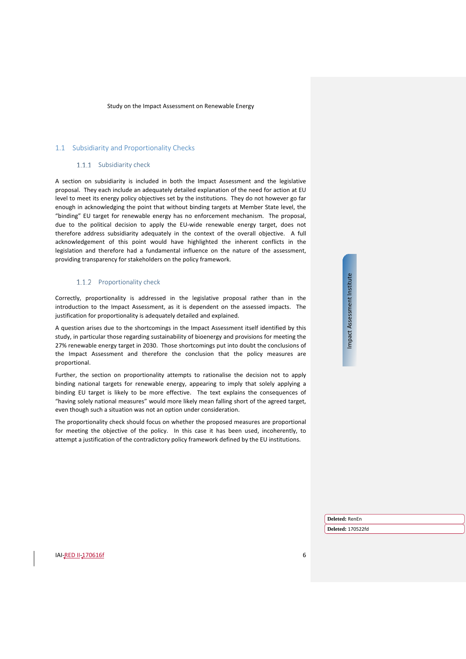#### <span id="page-5-0"></span>1.1 Subsidiarity and Proportionality Checks

#### 1.1.1 Subsidiarity check

A section on subsidiarity is included in both the Impact Assessment and the legislative proposal. They each include an adequately detailed explanation of the need for action at EU level to meet its energy policy objectives set by the institutions. They do not however go far enough in acknowledging the point that without binding targets at Member State level, the "binding" EU target for renewable energy has no enforcement mechanism. The proposal, due to the political decision to apply the EU-wide renewable energy target, does not therefore address subsidiarity adequately in the context of the overall objective. A full acknowledgement of this point would have highlighted the inherent conflicts in the legislation and therefore had a fundamental influence on the nature of the assessment, providing transparency for stakeholders on the policy framework.

#### 1.1.2 Proportionality check

Correctly, proportionality is addressed in the legislative proposal rather than in the introduction to the Impact Assessment, as it is dependent on the assessed impacts. The justification for proportionality is adequately detailed and explained.

A question arises due to the shortcomings in the Impact Assessment itself identified by this study, in particular those regarding sustainability of bioenergy and provisions for meeting the 27% renewable energy target in 2030. Those shortcomings put into doubt the conclusions of the Impact Assessment and therefore the conclusion that the policy measures are proportional.

Further, the section on proportionality attempts to rationalise the decision not to apply binding national targets for renewable energy, appearing to imply that solely applying a binding EU target is likely to be more effective. The text explains the consequences of "having solely national measures" would more likely mean falling short of the agreed target, even though such a situation was not an option under consideration.

The proportionality check should focus on whether the proposed measures are proportional for meeting the objective of the policy. In this case it has been used, incoherently, to attempt a justification of the contradictory policy framework defined by the EU institutions.

Impact Assessment Institute Impact Assessment Institute

IAI-RED II-170616f

**Deleted:** RenEn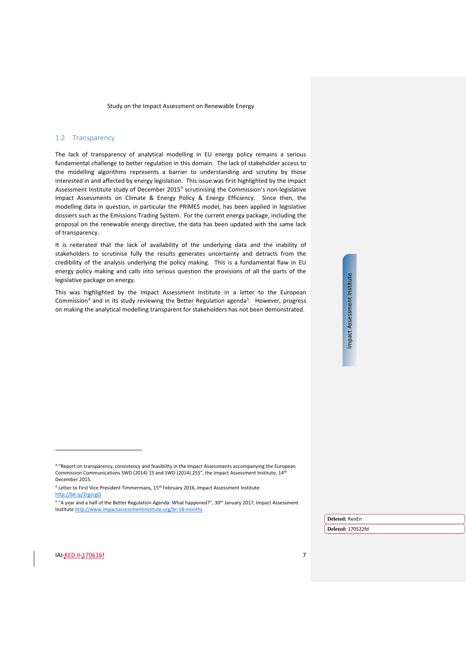#### <span id="page-6-0"></span>1.2 Transparency

<span id="page-6-4"></span>The lack of transparency of analytical modelling in EU energy policy remains a serious fundamental challenge to better regulation in this domain. The lack of stakeholder access to the modelling algorithms represents a barrier to understanding and scrutiny by those interested in and affected by energy legislation. This issue was first highlighted by the Impact Assessment Institute study of December 2015[3](#page-6-1) scrutinising the Commission's non-legislative Impact Assessments on Climate & Energy Policy & Energy Efficiency. Since then, the modelling data in question, in particular the PRIMES model, has been applied in legislative dossiers such as the Emissions Trading System. For the current energy package, including the proposal on the renewable energy directive, the data has been updated with the same lack of transparency.

It is reiterated that the lack of availability of the underlying data and the inability of stakeholders to scrutinise fully the results generates uncertainty and detracts from the credibility of the analysis underlying the policy making. This is a fundamental flaw in EU energy policy making and calls into serious question the provisions of all the parts of the legislative package on energy.

This was highlighted by the Impact Assessment Institute in a letter to the European Commission<sup>[4](#page-6-2)</sup> and in its study reviewing the Better Regulation agenda<sup>[5](#page-6-3)</sup>. However, progress on making the analytical modelling transparent for stakeholders has not been demonstrated.

 $\overline{a}$ 

Impact Assessment Institute

Impact Assessment Institute

**Deleted:** RenEn

<sup>&</sup>lt;sup>3</sup> "Report on transparency, consistency and feasibility in the Impact Assessments accompanying the European Commission Communications SWD (2014) 15 and SWD (2014) 255", the Impact Assessment Institute, 14th December 2015.

<sup>&</sup>lt;sup>4</sup> Letter to First Vice President Timmermans, 15<sup>th</sup> February 2016, Impact Assessment Institute: <http://bit.ly/2rgzcgQ>

<span id="page-6-3"></span><span id="page-6-2"></span><span id="page-6-1"></span><sup>&</sup>lt;sup>5</sup> "A year and a half of the Better Regulation Agenda: What happened?", 30<sup>th</sup> January 2017, Impact Assessment Institut[e http://www.impactassessmentinstitute.org/br-18-months](http://www.impactassessmentinstitute.org/br-18-months)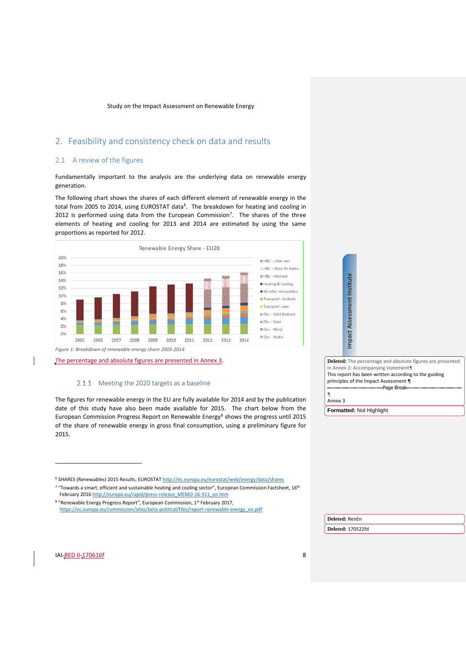# <span id="page-7-0"></span>2. Feasibility and consistency check on data and results

# <span id="page-7-1"></span>2.1 A review of the figures

Fundamentally important to the analysis are the underlying data on renewable energy generation.

<span id="page-7-5"></span>The following chart shows the shares of each different element of renewable energy in the total from 2005 to 2014, using EUROSTAT data<sup>[6](#page-7-2)</sup>. The breakdown for heating and cooling in 2012 is performed using data from the European Commission<sup>[7](#page-7-3)</sup>. The shares of the three elements of heating and cooling for 2013 and 2014 are estimated by using the same proportions as reported for 2012.



The percentage and absolute figures are presented in [Annex 3.](#page-48-0)

# 2.1.1 Meeting the 2020 targets as a baseline

<span id="page-7-6"></span>The figures for renewable energy in the EU are fully available for 2014 and by the publication date of this study have also been made available for 2015. The chart below from the European Commission Progress Report on Renewable Energy<sup>8</sup> shows the progress until 2015 of the share of renewable energy in gross final consumption, using a preliminary figure for 2015.

<sup>6</sup> SHARES (Renewables) 2015 Results, EUROSTA[T http://ec.europa.eu/eurostat/web/energy/data/shares](http://ec.europa.eu/eurostat/web/energy/data/shares)

<sup>7</sup> "Towards a smart, efficient and sustainable heating and cooling sector", European Commission Factsheet, 16<sup>th</sup> February 2016 [http://europa.eu/rapid/press-release\\_MEMO-16-311\\_en.htm](http://europa.eu/rapid/press-release_MEMO-16-311_en.htm)

<span id="page-7-2"></span><sup>8</sup> "Renewable Energy Progress Report", European Commission, 1st February 2017, [https://ec.europa.eu/commission/sites/beta-political/files/report-renewable-energy\\_en.pdf](https://ec.europa.eu/commission/sites/beta-political/files/report-renewable-energy_en.pdf)

**Deleted:** The percentage and absolute figures are presented i[n Annex 2: Accompanying statement](#page-47-0)*¶* [This report has been written according to the guiding](#page-47-0)  [principles of the Impact Assessment ¶](#page-47-0) [Page Break](#page-47-0) [¶](#page-47-0)

[Annex 3](#page-47-0)

**Formatted:** Not Highlight

Impact Assessment Institute

Impact Assessment Institute

<span id="page-7-4"></span><span id="page-7-3"></span>**IAI-RED II-170616f** 8

 $\overline{a}$ 

**Deleted:** RenEn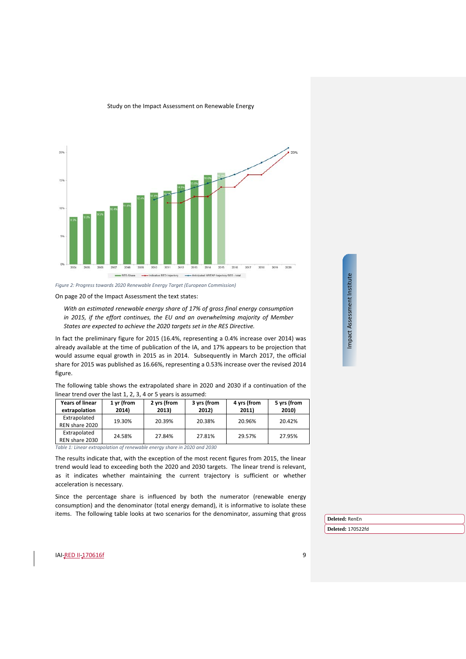

*Figure 2: Progress towards 2020 Renewable Energy Target (European Commission)*

On page 20 of the Impact Assessment the text states:

*With an estimated renewable energy share of 17% of gross final energy consumption in 2015, if the effort continues, the EU and an overwhelming majority of Member States are expected to achieve the 2020 targets set in the RES Directive.*

In fact the preliminary figure for 2015 (16.4%, representing a 0.4% increase over 2014) was already available at the time of publication of the IA, and 17% appears to be projection that would assume equal growth in 2015 as in 2014. Subsequently in March 2017, the official share for 2015 was published as 16.66%, representing a 0.53% increase over the revised 2014 figure.

The following table shows the extrapolated shar[e](#page-7-5) in 2020 and 2030 if a continuation of the linear trend over the last 1, 2, 3, 4 or 5 years is assumed:

| <b>Years of linear</b><br>extrapolation | 1 yr (from<br>2014) | 2 yrs (from<br>2013) | 3 yrs (from<br>2012) | 4 yrs (from<br>2011) | 5 yrs (from<br>2010) |
|-----------------------------------------|---------------------|----------------------|----------------------|----------------------|----------------------|
| Extrapolated<br>REN share 2020          | 19.30%              | 20.39%               | 20.38%               | 20.96%               | 20.42%               |
| Extrapolated<br>REN share 2030          | 24.58%              | 27.84%               | 27.81%               | 29.57%               | 27.95%               |

*Table 1: Linear extrapolation of renewable energy share in 2020 and 2030*

The results indicate that, with the exception of the most recent figures from 2015, the linear trend would lead to exceeding both the 2020 and 2030 targets. The linear trend is relevant, as it indicates whether maintaining the current trajectory is sufficient or whether acceleration is necessary.

Since the percentage share is influenced by both the numerator (renewable energy consumption) and the denominator (total energy demand), it is informative to isolate these items. The following table looks at two scenarios for the denominator, assuming that gross Impact Assessment Institute Impact Assessment Institute

**Deleted:** RenEn

**Deleted:** 170522fd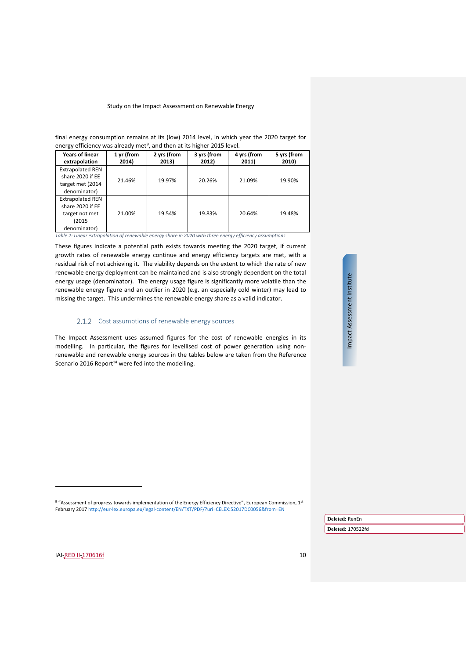| energy efficiency was already met <sup>9</sup> , and then at its higher 2015 level. |            |             |             |             |             |
|-------------------------------------------------------------------------------------|------------|-------------|-------------|-------------|-------------|
| <b>Years of linear</b>                                                              | 1 yr (from | 2 yrs (from | 3 yrs (from | 4 yrs (from | 5 yrs (from |
| extrapolation                                                                       | 2014)      | 2013)       | 2012)       | 2011)       | 2010)       |
| <b>Extrapolated REN</b>                                                             |            |             |             |             |             |
| share 2020 if EE                                                                    | 21.46%     | 19.97%      | 20.26%      | 21.09%      | 19.90%      |
| target met (2014                                                                    |            |             |             |             |             |
| denominator)                                                                        |            |             |             |             |             |
| <b>Extrapolated REN</b>                                                             |            |             |             |             | 19.48%      |
| share 2020 if EE                                                                    |            |             |             |             |             |
| target not met                                                                      | 21.00%     | 19.54%      | 19.83%      | 20.64%      |             |
| (2015                                                                               |            |             |             |             |             |
| denominator)                                                                        |            |             |             |             |             |
|                                                                                     |            |             |             |             |             |

final energy consumption remains at its (low) 2014 level, in which year the 2020 target for energy efficiency was already met<sup>9</sup>

*Table 2: Linear extrapolation of renewable energy share in 2020 with three energy efficiency assumptions*

These figures indicate a potential path exists towards meeting the 2020 target, if current growth rates of renewable energy continue and energy efficiency targets are met, with a residual risk of not achieving it. The viability depends on the extent to which the rate of new renewable energy deployment can be maintained and is also strongly dependent on the total energy usage (denominator). The energy usage figure is significantly more volatile than the renewable energy figure and an outlier in 2020 (e.g. an especially cold winter) may lead to missing the target. This undermines the renewable energy share as a valid indicator.

### 2.1.2 Cost assumptions of renewable energy sources

<span id="page-9-1"></span>The Impact Assessment uses assumed figures for the cost of renewable energies in its modelling. In particular, the figures for levellised cost of power generation using nonrenewable and renewable energy sources in the tables below are taken from the Reference Scenario 2016 Report $^{14}$  were fed into the modelling.

<sup>9</sup> "Assessment of progress towards implementation of the Energy Efficiency Directive", European Commission, 1st February 201[7 http://eur-lex.europa.eu/legal-content/EN/TXT/PDF/?uri=CELEX:52017DC0056&from=EN](http://eur-lex.europa.eu/legal-content/EN/TXT/PDF/?uri=CELEX:52017DC0056&from=EN)

> **Deleted:** RenEn **Deleted:** 170522fd

<span id="page-9-0"></span>**IAI-RED II-170616f** 10

j

Impact Assessment Institute Impact Assessment Institute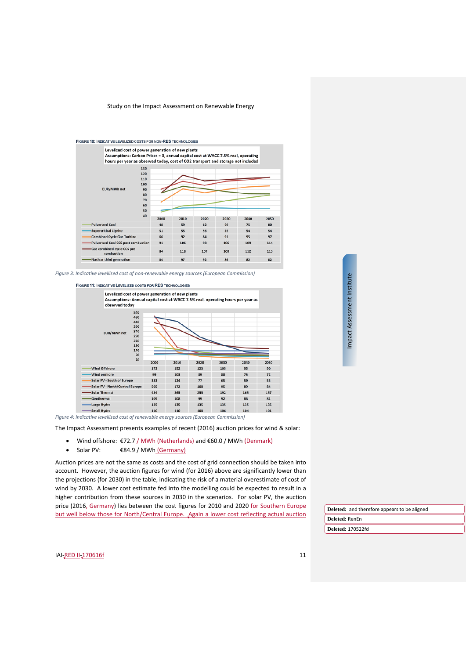

*Figure 3: Indicative levellised cost of non-renewable energy sources (European Commission)*





*Figure 4: Indicative levellised cost of renewable energy sources (European Commission)*

The Impact Assessment presents examples of recent (2016) auction prices for wind & solar:

- Wind offshore: €72.7 / MWh (Netherlands) and €60.0 / MWh (Denmark)
- Solar PV: €84.9 / MWh (Germany)

Auction prices are not the same as costs and the cost of grid connection should be taken into account. However, the auction figures for wind (for 2016) above are significantly lower than the projections (for 2030) in the table, indicating the risk of a material overestimate of cost of wind by 2030. A lower cost estimate fed into the modelling could be expected to result in a higher contribution from these sources in 2030 in the scenarios. For solar PV, the auction price (2016, Germany) lies between the cost figures for 2010 and 2020 for Southern Europe but well below those for North/Central Europe. Again a lower cost reflecting actual auction

Impact Assessment Institute Impact Assessment Institute

**Deleted:** RenEn **Deleted:** and therefore appears to be aligned

**Deleted:** 170522fd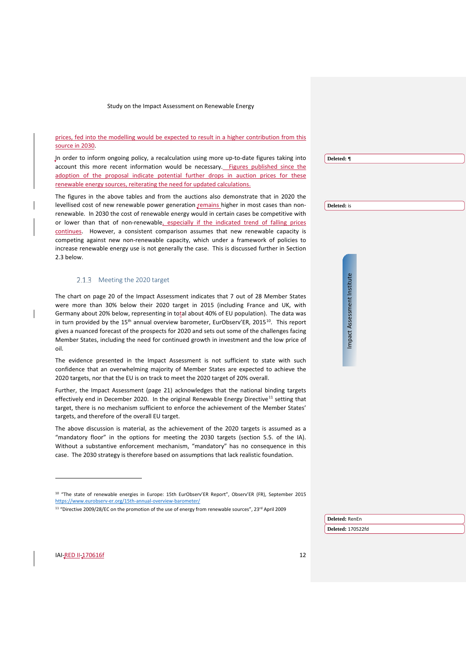### prices, fed into the modelling would be expected to result in a higher contribution from this source in 2030.

In order to inform ongoing policy, a recalculation using more up-to-date figures taking into account this more recent information would be necessary. Figures published since the adoption of the proposal indicate potential further drops in auction prices for these renewable energy sources, reiterating the need for updated calculations.

The figures in the above tables and from the auctions also demonstrate that in 2020 the levellised cost of new renewable power generation remains higher in most cases than nonrenewable. In 2030 the cost of renewable energy would in certain cases be competitive with or lower than that of non-renewable, especially if the indicated trend of falling prices continues. However, a consistent comparison assumes that new renewable capacity is competing against new non-renewable capacity, which under a framework of policies to increase renewable energy use is not generally the case. This is discussed further in Section [2.3](#page-18-0) below.

#### 2.1.3 Meeting the 2020 target

The chart on page 20 of the Impact Assessment indicates that 7 out of 28 Member States were more than 30% below their 2020 target in 2015 (including France and UK, with Germany about 20% below, representing in total about 40% of EU population). The data was in turn provided by the  $15<sup>th</sup>$  annual overview barometer, EurObserv'ER, 2015<sup>10</sup>. This report gives a nuanced forecast of the prospects for 2020 and sets out some of the challenges facing Member States, including the need for continued growth in investment and the low price of oil.

The evidence presented in the Impact Assessment is not sufficient to state with such confidence that an overwhelming majority of Member States are expected to achieve the 2020 targets, nor that the EU is on track to meet the 2020 target of 20% overall.

Further, the Impact Assessment (page 21) acknowledges that the national binding targets effectively end in December 2020. In the original Renewable Energy Directive<sup>[11](#page-11-1)</sup> setting that target, there is no mechanism sufficient to enforce the achievement of the Member States' targets, and therefore of the overall EU target.

The above discussion is material, as the achievement of the 2020 targets is assumed as a "mandatory floor" in the options for meeting the 2030 targets (section 5.5. of the IA). Without a substantive enforcement mechanism, "mandatory" has no consequence in this case. The 2030 strategy is therefore based on assumptions that lack realistic foundation.

<sup>11</sup> "Directive 2009/28/EC on the promotion of the use of energy from renewable sources", 23<sup>rd</sup> April 2009

**Deleted:** ¶

**Deleted:** is

Impact Assessment Institute Impact Assessment Institute

<span id="page-11-1"></span><span id="page-11-0"></span>**IAI-RED II-170616f** 12

 $\overline{a}$ 

**Deleted:** RenEn

<sup>10</sup> "The state of renewable energies in Europe: 15th EurObserv'ER Report", Observ'ER (FR), September 2015 <https://www.eurobserv-er.org/15th-annual-overview-barometer/>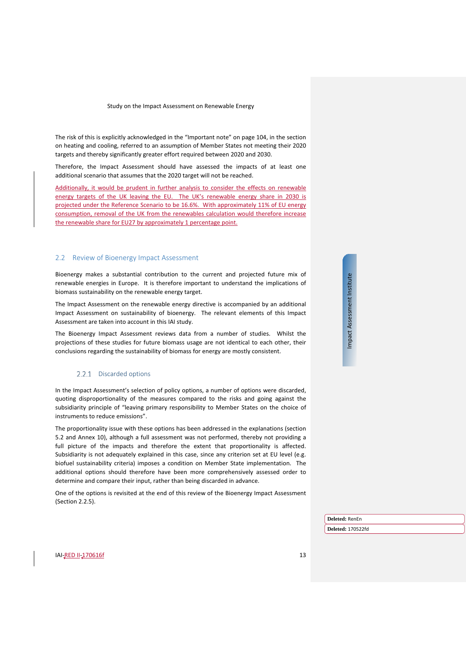The risk of this is explicitly acknowledged in the "Important note" on page 104, in the section on heating and cooling, referred to an assumption of Member States not meeting their 2020 targets and thereby significantly greater effort required between 2020 and 2030.

Therefore, the Impact Assessment should have assessed the impacts of at least one additional scenario that assumes that the 2020 target will not be reached.

Additionally, it would be prudent in further analysis to consider the effects on renewable energy targets of the UK leaving the EU. The UK's renewable energy share in 2030 is projected under the Reference Scenario to be 16.6%. With approximately 11% of EU energy consumption, removal of the UK from the renewables calculation would therefore increase the renewable share for EU27 by approximately 1 percentage point.

#### <span id="page-12-0"></span>2.2 Review of Bioenergy Impact Assessment

Bioenergy makes a substantial contribution to the current and projected future mix of renewable energies in Europe. It is therefore important to understand the implications of biomass sustainability on the renewable energy target.

The Impact Assessment on the renewable energy directive is accompanied by an additional Impact Assessment on sustainability of bioenergy. The relevant elements of this Impact Assessment are taken into account in this IAI study.

The Bioenergy Impact Assessment reviews data from a number of studies. Whilst the projections of these studies for future biomass usage are not identical to each other, their conclusions regarding the sustainability of biomass for energy are mostly consistent.

#### 2.2.1 Discarded options

In the Impact Assessment's selection of policy options, a number of options were discarded, quoting disproportionality of the measures compared to the risks and going against the subsidiarity principle of "leaving primary responsibility to Member States on the choice of instruments to reduce emissions".

The proportionality issue with these options has been addressed in the explanations (section 5.2 and Annex 10), although a full assessment was not performed, thereby not providing a full picture of the impacts and therefore the extent that proportionality is affected. Subsidiarity is not adequately explained in this case, since any criterion set at EU level (e.g. biofuel sustainability criteria) imposes a condition on Member State implementation. The additional options should therefore have been more comprehensively assessed order to determine and compare their input, rather than being discarded in advance.

One of the options is revisited at the end of this review of the Bioenergy Impact Assessment (Section [2.2.5\)](#page-17-0).

Impact Assessment Institute Impact Assessment Institute

**Deleted:** RenEn

**Deleted:** 170522fd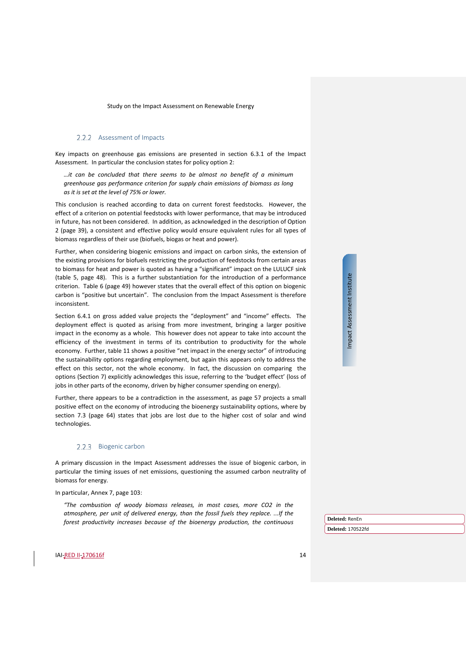#### 2.2.2 Assessment of Impacts

<span id="page-13-0"></span>Key impacts on greenhouse gas emissions are presented in section 6.3.1 of the Impact Assessment. In particular the conclusion states for policy option 2:

*…it can be concluded that there seems to be almost no benefit of a minimum greenhouse gas performance criterion for supply chain emissions of biomass as long as it is set at the level of 75% or lower.* 

This conclusion is reached according to data on current forest feedstocks. However, the effect of a criterion on potential feedstocks with lower performance, that may be introduced in future, has not been considered. In addition, as acknowledged in the description of Option 2 (page 39), a consistent and effective policy would ensure equivalent rules for all types of biomass regardless of their use (biofuels, biogas or heat and power).

Further, when considering biogenic emissions and impact on carbon sinks, the extension of the existing provisions for biofuels restricting the production of feedstocks from certain areas to biomass for heat and power is quoted as having a "significant" impact on the LULUCF sink (table 5, page 48). This is a further substantiation for the introduction of a performance criterion. Table 6 (page 49) however states that the overall effect of this option on biogenic carbon is "positive but uncertain". The conclusion from the Impact Assessment is therefore inconsistent.

Section 6.4.1 on gross added value projects the "deployment" and "income" effects. The deployment effect is quoted as arising from more investment, bringing a larger positive impact in the economy as a whole. This however does not appear to take into account the efficiency of the investment in terms of its contribution to productivity for the whole economy. Further, table 11 shows a positive "net impact in the energy sector" of introducing the sustainability options regarding employment, but again this appears only to address the effect on this sector, not the whole economy. In fact, the discussion on comparing the options (Section 7) explicitly acknowledges this issue, referring to the 'budget effect' (loss of jobs in other parts of the economy, driven by higher consumer spending on energy).

Further, there appears to be a contradiction in the assessment, as page 57 projects a small positive effect on the economy of introducing the bioenergy sustainability options, where by section 7.3 (page 64) states that jobs are lost due to the higher cost of solar and wind technologies.

#### 2.2.3 Biogenic carbon

A primary discussion in the Impact Assessment addresses the issue of biogenic carbon, in particular the timing issues of net emissions, questioning the assumed carbon neutrality of biomass for energy.

In particular, Annex 7, page 103:

*"The combustion of woody biomass releases, in most cases, more CO2 in the atmosphere, per unit of delivered energy, than the fossil fuels they replace. ...If the forest productivity increases because of the bioenergy production, the continuous*  Impact Assessment Institute Impact Assessment Institute

**Deleted:** RenEn **Deleted:** 170522fd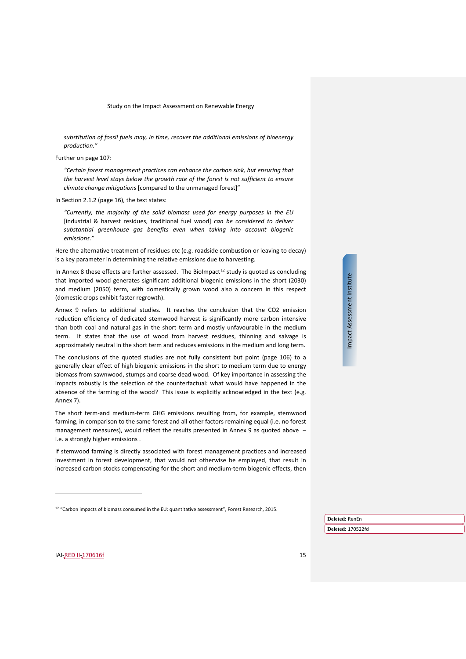*substitution of fossil fuels may, in time, recover the additional emissions of bioenergy production."*

Further on page 107:

*"Certain forest management practices can enhance the carbon sink, but ensuring that the harvest level stays below the growth rate of the forest is not sufficient to ensure climate change mitigations* [compared to the unmanaged forest]"

In Section 2.1.2 (page 16), the text states:

*"Currently, the majority of the solid biomass used for energy purposes in the EU*  [industrial & harvest residues, traditional fuel wood] *can be considered to deliver substantial greenhouse gas benefits even when taking into account biogenic emissions."*

Here the alternative treatment of residues etc (e.g. roadside combustion or leaving to decay) is a key parameter in determining the relative emissions due to harvesting.

In Annex 8 these effects are further assessed. The BioImpact<sup>[12](#page-14-0)</sup> study is quoted as concluding that imported wood generates significant additional biogenic emissions in the short (2030) and medium (2050) term, with domestically grown wood also a concern in this respect (domestic crops exhibit faster regrowth).

Annex 9 refers to additional studies. It reaches the conclusion that the CO2 emission reduction efficiency of dedicated stemwood harvest is significantly more carbon intensive than both coal and natural gas in the short term and mostly unfavourable in the medium term. It states that the use of wood from harvest residues, thinning and salvage is approximately neutral in the short term and reduces emissions in the medium and long term.

The conclusions of the quoted studies are not fully consistent but point (page 106) to a generally clear effect of high biogenic emissions in the short to medium term due to energy biomass from sawnwood, stumps and coarse dead wood. Of key importance in assessing the impacts robustly is the selection of the counterfactual: what would have happened in the absence of the farming of the wood? This issue is explicitly acknowledged in the text (e.g. Annex 7).

The short term-and medium-term GHG emissions resulting from, for example, stemwood farming, in comparison to the same forest and all other factors remaining equal (i.e. no forest management measures), would reflect the results presented in Annex 9 as quoted above i.e. a strongly higher emissions .

If stemwood farming is directly associated with forest management practices and increased investment in forest development, that would not otherwise be employed, that result in increased carbon stocks compensating for the short and medium-term biogenic effects, then Impact Assessment Institute Impact Assessment Institute

**Deleted:** RenEn

**Deleted:** 170522fd

<span id="page-14-0"></span>**IAI-RED II-170616f** 15

<sup>&</sup>lt;sup>12</sup> "Carbon impacts of biomass consumed in the EU: quantitative assessment", Forest Research, 2015.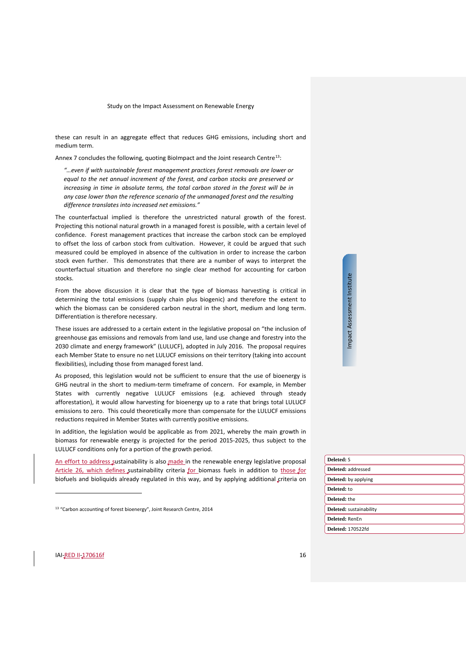these can result in an aggregate effect that reduces GHG emissions, including short and medium term.

Annex 7 concludes the following, quoting BioImpact and the Joint research Centre<sup>[13](#page-15-0)</sup>:

*"…even if with sustainable forest management practices forest removals are lower or equal to the net annual increment of the forest, and carbon stocks are preserved or increasing in time in absolute terms, the total carbon stored in the forest will be in any case lower than the reference scenario of the unmanaged forest and the resulting difference translates into increased net emissions."*

The counterfactual implied is therefore the unrestricted natural growth of the forest. Projecting this notional natural growth in a managed forest is possible, with a certain level of confidence. Forest management practices that increase the carbon stock can be employed to offset the loss of carbon stock from cultivation. However, it could be argued that such measured could be employed in absence of the cultivation in order to increase the carbon stock even further. This demonstrates that there are a number of ways to interpret the counterfactual situation and therefore no single clear method for accounting for carbon stocks.

From the above discussion it is clear that the type of biomass harvesting is critical in determining the total emissions (supply chain plus biogenic) and therefore the extent to which the biomass can be considered carbon neutral in the short, medium and long term. Differentiation is therefore necessary.

These issues are addressed to a certain extent in the legislative proposal on "the inclusion of greenhouse gas emissions and removals from land use, land use change and forestry into the 2030 climate and energy framework" (LULUCF), adopted in July 2016. The proposal requires each Member State to ensure no net LULUCF emissions on their territory (taking into account flexibilities), including those from managed forest land.

As proposed, this legislation would not be sufficient to ensure that the use of bioenergy is GHG neutral in the short to medium-term timeframe of concern. For example, in Member States with currently negative LULUCF emissions (e.g. achieved through steady afforestation), it would allow harvesting for bioenergy up to a rate that brings total LULUCF emissions to zero. This could theoretically more than compensate for the LULUCF emissions reductions required in Member States with currently positive emissions.

In addition, the legislation would be applicable as from 2021, whereby the main growth in biomass for renewable energy is projected for the period 2015-2025, thus subject to the LULUCF conditions only for a portion of the growth period.

| e renewable energy legislative proposal  | Deleted: S                  |
|------------------------------------------|-----------------------------|
| biomass fuels in addition to those for   | Deleted: addressed          |
| , and by applying additional criteria on | <b>Deleted:</b> by applying |
|                                          | Deleted: to                 |
|                                          | Deleted: the                |
| .2014                                    | Deleted: sustainability     |
|                                          | Deleted: RenEn              |
|                                          | <b>Deleted: 170522fd</b>    |
|                                          |                             |

An effort to address sustainability is also made in the Article 26, which defines sustainability criteria for biofuels and bioliquids already regulated in this way

<sup>13</sup> "Carbon accounting of forest bioenergy", Joint Research Centre,

Impact Assessment Institute Impact Assessment Institute

<span id="page-15-0"></span>**IAI-RED II-170616f** 16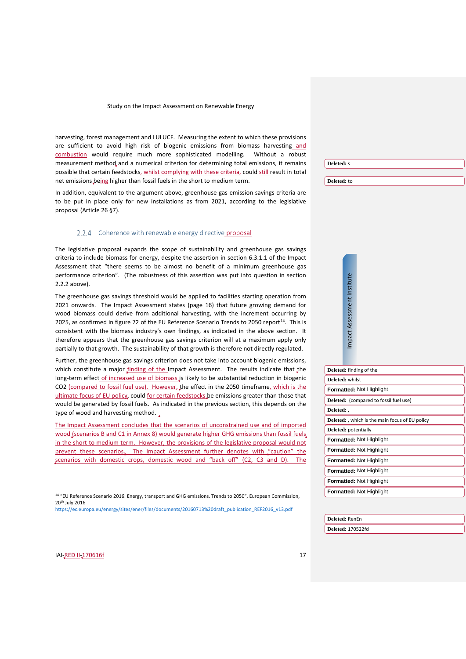harvesting, forest management and LULUCF. Measuring the extent to which these provisions are sufficient to avoid high risk of biogenic emissions from biomass harvesting and combustion would require much more sophisticated modelling. Without a robust measurement method, and a numerical criterion for determining total emissions, it remains possible that certain feedstocks, whilst complying with these criteria, could still result in total net emissions being higher than fossil fuels in the short to medium term.

In addition, equivalent to the argument above, greenhouse gas emission savings criteria are to be put in place only for new installations as from 2021, according to the legislative proposal (Article 26 §7).

#### 2.2.4 Coherence with renewable energy directive proposal

The legislative proposal expands the scope of sustainability and greenhouse gas savings criteria to include biomass for energy, despite the assertion in section 6.3.1.1 of the Impact Assessment that "there seems to be almost no benefit of a minimum greenhouse gas performance criterion". (The robustness of this assertion was put into question in section [2.2.2](#page-13-0) above).

The greenhouse gas savings threshold would be applied to facilities starting operation from 2021 onwards. The Impact Assessment states (page 16) that future growing demand for wood biomass could derive from additional harvesting, with the increment occurring by 2025, as confirmed in figure 72 of the EU Reference Scenario Trends to 2050 report<sup>14</sup>. This is consistent with the biomass industry's own findings, as indicated in the above section. It therefore appears that the greenhouse gas savings criterion will at a maximum apply only partially to that growth. The sustainability of that growth is therefore not directly regulated.

Further, the greenhouse gas savings criterion does not take into account biogenic emissions, which constitute a major finding of the Impact Assessment. The results indicate that the long-term effect of increased use of biomass is likely to be substantial reduction in biogenic CO2 (compared to fossil fuel use). However, the effect in the 2050 timeframe, which is the ultimate focus of EU policy, could for certain feedstocks be emissions greater than those that would be generated by fossil fuels. As indicated in the previous section, this depends on the type of wood and harvesting method.

The Impact Assessment concludes that the scenarios of unconstrained use and of imported wood (scenarios B and C1 in Annex 8) would generate higher GHG emissions than fossil fuels in the short to medium term. However, the provisions of the legislative proposal would not prevent these scenarios. The Impact Assessment further denotes with "caution" the scenarios with domestic crops, domestic wood and "back off" (C2, C3 and D). The

| <b>Deleted:</b> s |  |
|-------------------|--|
|                   |  |

**Deleted:** to

| stitut           |  |
|------------------|--|
|                  |  |
|                  |  |
| ī                |  |
|                  |  |
|                  |  |
|                  |  |
|                  |  |
|                  |  |
|                  |  |
|                  |  |
| npact Assessment |  |
|                  |  |
|                  |  |
|                  |  |

 $\overline{\epsilon}$ 

<span id="page-16-0"></span>

| Deleted: finding of the                                |
|--------------------------------------------------------|
| Deleted: whilst                                        |
| Formatted: Not Highlight                               |
| Deleted: (compared to fossil fuel use)                 |
| Deleted:                                               |
| <b>Deleted:</b> , which is the main focus of EU policy |
| Deleted: potentially                                   |
| <b>Formatted: Not Highlight</b>                        |
| <b>Formatted: Not Highlight</b>                        |
| <b>Formatted: Not Highlight</b>                        |
| <b>Formatted: Not Highlight</b>                        |
| <b>Formatted: Not Highlight</b>                        |
| <b>Formatted: Not Highlight</b>                        |

| Deleted: RenEn |  |
|----------------|--|
|----------------|--|

**Deleted:** 170522fd

<span id="page-16-1"></span>**IAI-RED II-170616f** 17

<sup>&</sup>lt;sup>14</sup> "EU Reference Scenario 2016: Energy, transport and GHG emissions. Trends to 2050", European Commission, 20th July 2016 [https://ec.europa.eu/energy/sites/ener/files/documents/20160713%20draft\\_publication\\_REF2016\\_v13.pdf](https://ec.europa.eu/energy/sites/ener/files/documents/20160713%20draft_publication_REF2016_v13.pdf)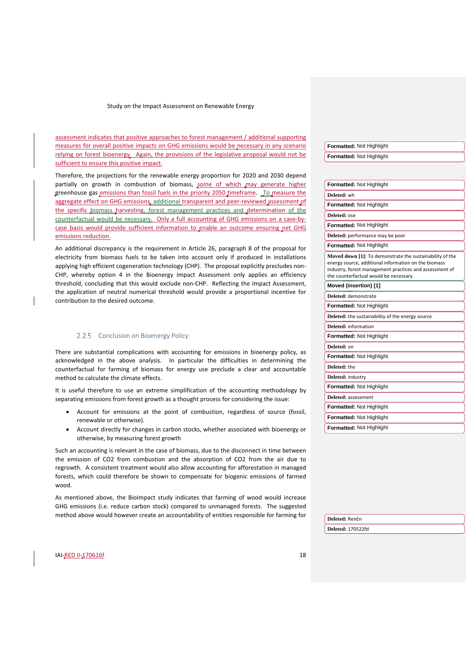assessment indicates that positive approaches to forest management / additional supporting measures for overall positive impacts on GHG emissions would be necessary in any scenario relying on forest bioenergy. Again, the provisions of the legislative proposal would not be sufficient to ensure this positive impact.

Therefore, the projections for the renewable energy proportion for 2020 and 2030 depend partially on growth in combustion of biomass, some of which may generate higher greenhouse gas emissions than fossil fuels in the priority 2050 timeframe. To measure the aggregate effect on GHG emissions, additional transparent and peer-reviewed assessment of the specific biomass harvesting, forest management practices and determination of counterfactual would be necessary. Only a full accounting of GHG emissions on a case-bycase basis would provide sufficient information to enable an outcome ensuring net GHG emissions reduction.

An additional discrepancy is the requirement in Article 26, paragraph 8 of the proposal for electricity from biomass fuels to be taken into account only if produced in installations applying high efficient cogeneration technology (CHP). The proposal explicitly precludes non-CHP, whereby option 4 in the Bioenergy Impact Assessment only applies an efficiency threshold, concluding that this would exclude non-CHP. Reflecting the Impact Assessment, the application of neutral numerical threshold would provide a proportional incentive for contribution to the desired outcome.

#### 2.2.5 Conclusion on Bioenergy Policy

<span id="page-17-0"></span>There are substantial complications with accounting for emissions in bioenergy policy, as acknowledged in the above analysis. In particular the difficulties in determining the counterfactual for farming of biomass for energy use preclude a clear and accountable method to calculate the climate effects.

It is useful therefore to use an extreme simplification of the accounting methodology by separating emissions from forest growth as a thought process for considering the issue:

- Account for emissions at the point of combustion, regardless of source (fossil, renewable or otherwise).
- Account directly for changes in carbon stocks, whether associated with bioenergy or otherwise, by measuring forest growth

Such an accounting is relevant in the case of biomass, due to the disconnect in time between the emission of CO2 from combustion and the absorption of CO2 from the air due to regrowth. A consistent treatment would also allow accounting for afforestation in managed forests, which could therefore be shown to compensate for biogenic emissions of farmed wood.

As mentioned above, the BioImpact study indicates that farming of wood would increase GHG emissions (i.e. reduce carbon stock) compared to unmanaged forests. The suggested method above would however create an accountability of entities responsible for farming for

| Formatted: Not Highlight |
|--------------------------|
| Formatted: Not Highlight |

| <b>Formatted: Not Highlight</b>                                                                                                                                                                                       |  |  |  |  |  |  |  |
|-----------------------------------------------------------------------------------------------------------------------------------------------------------------------------------------------------------------------|--|--|--|--|--|--|--|
| Deleted: wh                                                                                                                                                                                                           |  |  |  |  |  |  |  |
| Formatted: Not Highlight                                                                                                                                                                                              |  |  |  |  |  |  |  |
| Deleted: ose                                                                                                                                                                                                          |  |  |  |  |  |  |  |
| Formatted: Not Highlight                                                                                                                                                                                              |  |  |  |  |  |  |  |
| Deleted: performance may be poor                                                                                                                                                                                      |  |  |  |  |  |  |  |
| Formatted: Not Highlight                                                                                                                                                                                              |  |  |  |  |  |  |  |
| Moved down [1]: To demonstrate the sustainability of the<br>energy source, additional information on the biomass<br>industry, forest management practices and assessment of<br>the counterfactual would be necessary. |  |  |  |  |  |  |  |
| Moved (insertion) [1]                                                                                                                                                                                                 |  |  |  |  |  |  |  |
| Deleted: demonstrate                                                                                                                                                                                                  |  |  |  |  |  |  |  |
| Formatted: Not Highlight                                                                                                                                                                                              |  |  |  |  |  |  |  |
| Deleted: the sustainability of the energy source                                                                                                                                                                      |  |  |  |  |  |  |  |
| Deleted: information                                                                                                                                                                                                  |  |  |  |  |  |  |  |
| <b>Formatted: Not Highlight</b>                                                                                                                                                                                       |  |  |  |  |  |  |  |
| Deleted: on                                                                                                                                                                                                           |  |  |  |  |  |  |  |
| Formatted: Not Highlight                                                                                                                                                                                              |  |  |  |  |  |  |  |
| Deleted: the                                                                                                                                                                                                          |  |  |  |  |  |  |  |
| Deleted: industry                                                                                                                                                                                                     |  |  |  |  |  |  |  |
| Formatted: Not Highlight                                                                                                                                                                                              |  |  |  |  |  |  |  |
| Deleted: assessment                                                                                                                                                                                                   |  |  |  |  |  |  |  |
| <b>Formatted: Not Highlight</b>                                                                                                                                                                                       |  |  |  |  |  |  |  |
| <b>Formatted: Not Highlight</b>                                                                                                                                                                                       |  |  |  |  |  |  |  |
| Formatted: Not Highlight                                                                                                                                                                                              |  |  |  |  |  |  |  |
|                                                                                                                                                                                                                       |  |  |  |  |  |  |  |

**Deleted:** RenEn

**Deleted:** 170522fd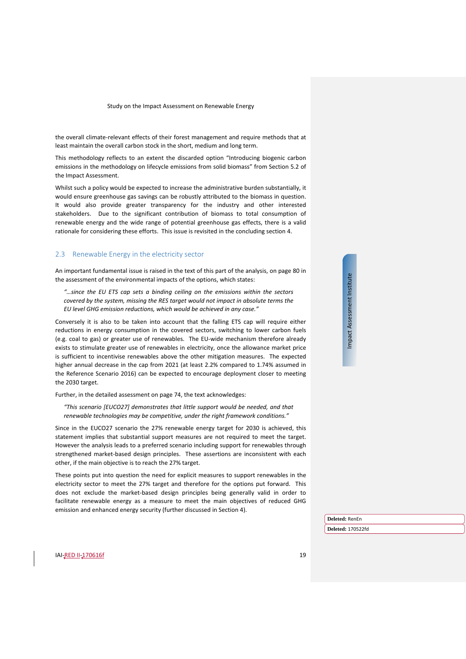the overall climate-relevant effects of their forest management and require methods that at least maintain the overall carbon stock in the short, medium and long term.

This methodology reflects to an extent the discarded option "Introducing biogenic carbon emissions in the methodology on lifecycle emissions from solid biomass" from Section 5.2 of the Impact Assessment.

Whilst such a policy would be expected to increase the administrative burden substantially, it would ensure greenhouse gas savings can be robustly attributed to the biomass in question. It would also provide greater transparency for the industry and other interested stakeholders. Due to the significant contribution of biomass to total consumption of renewable energy and the wide range of potential greenhouse gas effects, there is a valid rationale for considering these efforts. This issue is revisited in the concluding sectio[n 4.](#page-43-0)

#### <span id="page-18-0"></span>2.3 Renewable Energy in the electricity sector

An important fundamental issue is raised in the text of this part of the analysis, on page 80 in the assessment of the environmental impacts of the options, which states:

*"…since the EU ETS cap sets a binding ceiling on the emissions within the sectors covered by the system, missing the RES target would not impact in absolute terms the EU level GHG emission reductions, which would be achieved in any case."*

Conversely it is also to be taken into account that the falling ETS cap will require either reductions in energy consumption in the covered sectors, switching to lower carbon fuels (e.g. coal to gas) or greater use of renewables. The EU-wide mechanism therefore already exists to stimulate greater use of renewables in electricity, once the allowance market price is sufficient to incentivise renewables above the other mitigation measures. The expected higher annual decrease in the cap from 2021 (at least 2.2% compared to 1.74% assumed in the Reference Scenario 2016) can be expected to encourage deployment closer to meeting the 2030 target.

Further, in the detailed assessment on page 74, the text acknowledges:

*"This scenario [EUCO27] demonstrates that little support would be needed, and that renewable technologies may be competitive, under the right framework conditions."*

Since in the EUCO27 scenario the 27% renewable energy target for 2030 is achieved, this statement implies that substantial support measures are not required to meet the target. However the analysis leads to a preferred scenario including support for renewables through strengthened market-based design principles. These assertions are inconsistent with each other, if the main objective is to reach the 27% target.

These points put into question the need for explicit measures to support renewables in the electricity sector to meet the 27% target and therefore for the options put forward. This does not exclude the market-based design principles being generally valid in order to facilitate renewable energy as a measure to meet the main objectives of reduced GHG emission and enhanced energy security (further discussed in Section [4\)](#page-43-0).

Impact Assessment Institute Impact Assessment Institute

**Deleted:** RenEn

**Deleted:** 170522fd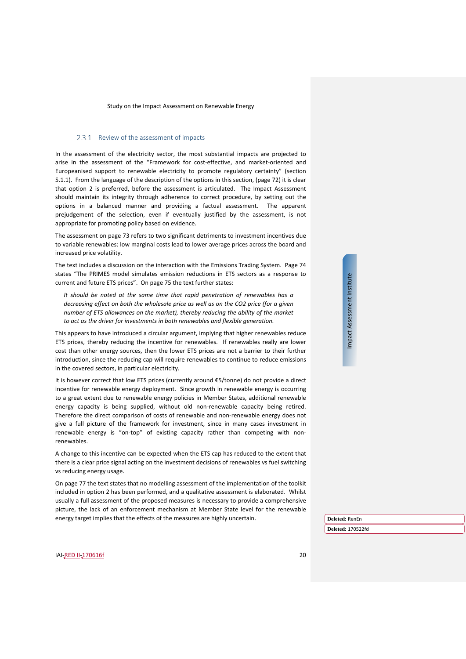#### 2.3.1 Review of the assessment of impacts

In the assessment of the electricity sector, the most substantial impacts are projected to arise in the assessment of the "Framework for cost-effective, and market-oriented and Europeanised support to renewable electricity to promote regulatory certainty" (section 5.1.1). From the language of the description of the options in this section, (page 72) it is clear that option 2 is preferred, before the assessment is articulated. The Impact Assessment should maintain its integrity through adherence to correct procedure, by setting out the options in a balanced manner and providing a factual assessment. The apparent prejudgement of the selection, even if eventually justified by the assessment, is not appropriate for promoting policy based on evidence.

The assessment on page 73 refers to two significant detriments to investment incentives due to variable renewables: low marginal costs lead to lower average prices across the board and increased price volatility.

The text includes a discussion on the interaction with the Emissions Trading System. Page 74 states "The PRIMES model simulates emission reductions in ETS sectors as a response to current and future ETS prices". On page 75 the text further states:

*It should be noted at the same time that rapid penetration of renewables has a decreasing effect on both the wholesale price as well as on the CO2 price (for a given number of ETS allowances on the market), thereby reducing the ability of the market to act as the driver for investments in both renewables and flexible generation.*

This appears to have introduced a circular argument, implying that higher renewables reduce ETS prices, thereby reducing the incentive for renewables. If renewables really are lower cost than other energy sources, then the lower ETS prices are not a barrier to their further introduction, since the reducing cap will require renewables to continue to reduce emissions in the covered sectors, in particular electricity.

It is however correct that low ETS prices (currently around €5/tonne) do not provide a direct incentive for renewable energy deployment. Since growth in renewable energy is occurring to a great extent due to renewable energy policies in Member States, additional renewable energy capacity is being supplied, without old non-renewable capacity being retired. Therefore the direct comparison of costs of renewable and non-renewable energy does not give a full picture of the framework for investment, since in many cases investment in renewable energy is "on-top" of existing capacity rather than competing with nonrenewables.

A change to this incentive can be expected when the ETS cap has reduced to the extent that there is a clear price signal acting on the investment decisions of renewables vs fuel switching vs reducing energy usage.

On page 77 the text states that no modelling assessment of the implementation of the toolkit included in option 2 has been performed, and a qualitative assessment is elaborated. Whilst usually a full assessment of the proposed measures is necessary to provide a comprehensive picture, the lack of an enforcement mechanism at Member State level for the renewable energy target implies that the effects of the measures are highly uncertain.

Impact Assessment Institute Impact Assessment Institute

**Deleted:** RenEn

**Deleted:** 170522fd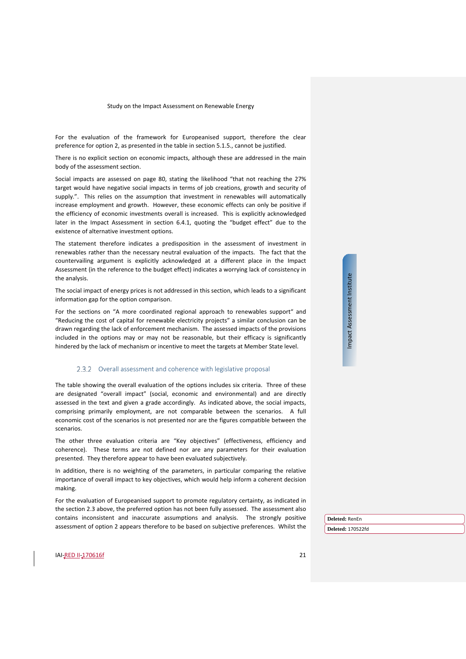For the evaluation of the framework for Europeanised support, therefore the clear preference for option 2, as presented in the table in section 5.1.5., cannot be justified.

There is no explicit section on economic impacts, although these are addressed in the main body of the assessment section.

Social impacts are assessed on page 80, stating the likelihood "that not reaching the 27% target would have negative social impacts in terms of job creations, growth and security of supply.". This relies on the assumption that investment in renewables will automatically increase employment and growth. However, these economic effects can only be positive if the efficiency of economic investments overall is increased. This is explicitly acknowledged later in the Impact Assessment in section 6.4.1, quoting the "budget effect" due to the existence of alternative investment options.

The statement therefore indicates a predisposition in the assessment of investment in renewables rather than the necessary neutral evaluation of the impacts. The fact that the countervailing argument is explicitly acknowledged at a different place in the Impact Assessment (in the reference to the budget effect) indicates a worrying lack of consistency in the analysis.

The social impact of energy prices is not addressed in this section, which leads to a significant information gap for the option comparison.

For the sections on "A more coordinated regional approach to renewables support" and "Reducing the cost of capital for renewable electricity projects" a similar conclusion can be drawn regarding the lack of enforcement mechanism. The assessed impacts of the provisions included in the options may or may not be reasonable, but their efficacy is significantly hindered by the lack of mechanism or incentive to meet the targets at Member State level.

#### 2.3.2 Overall assessment and coherence with legislative proposal

The table showing the overall evaluation of the options includes six criteria. Three of these are designated "overall impact" (social, economic and environmental) and are directly assessed in the text and given a grade accordingly. As indicated above, the social impacts, comprising primarily employment, are not comparable between the scenarios. A full economic cost of the scenarios is not presented nor are the figures compatible between the scenarios.

The other three evaluation criteria are "Key objectives" (effectiveness, efficiency and coherence). These terms are not defined nor are any parameters for their evaluation presented. They therefore appear to have been evaluated subjectively.

In addition, there is no weighting of the parameters, in particular comparing the relative importance of overall impact to key objectives, which would help inform a coherent decision making.

For the evaluation of Europeanised support to promote regulatory certainty, as indicated in the section [2.3](#page-18-0) above, the preferred option has not been fully assessed. The assessment also contains inconsistent and inaccurate assumptions and analysis. The strongly positive assessment of option 2 appears therefore to be based on subjective preferences. Whilst the Impact Assessment Institute Impact Assessment Institute

**Deleted:** RenEn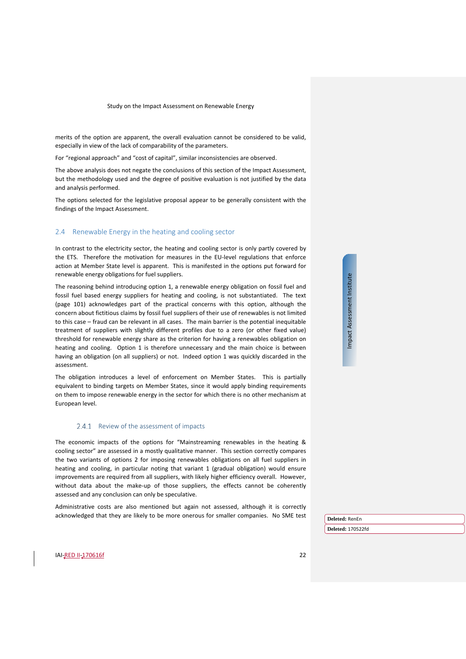merits of the option are apparent, the overall evaluation cannot be considered to be valid, especially in view of the lack of comparability of the parameters.

For "regional approach" and "cost of capital", similar inconsistencies are observed.

The above analysis does not negate the conclusions of this section of the Impact Assessment, but the methodology used and the degree of positive evaluation is not justified by the data and analysis performed.

The options selected for the legislative proposal appear to be generally consistent with the findings of the Impact Assessment.

#### <span id="page-21-0"></span>2.4 Renewable Energy in the heating and cooling sector

In contrast to the electricity sector, the heating and cooling sector is only partly covered by the ETS. Therefore the motivation for measures in the EU-level regulations that enforce action at Member State level is apparent. This is manifested in the options put forward for renewable energy obligations for fuel suppliers.

The reasoning behind introducing option 1, a renewable energy obligation on fossil fuel and fossil fuel based energy suppliers for heating and cooling, is not substantiated. The text (page 101) acknowledges part of the practical concerns with this option, although the concern about fictitious claims by fossil fuel suppliers of their use of renewables is not limited to this case – fraud can be relevant in all cases. The main barrier is the potential inequitable treatment of suppliers with slightly different profiles due to a zero (or other fixed value) threshold for renewable energy share as the criterion for having a renewables obligation on heating and cooling. Option 1 is therefore unnecessary and the main choice is between having an obligation (on all suppliers) or not. Indeed option 1 was quickly discarded in the assessment.

The obligation introduces a level of enforcement on Member States. This is partially equivalent to binding targets on Member States, since it would apply binding requirements on them to impose renewable energy in the sector for which there is no other mechanism at European level.

#### 2.4.1 Review of the assessment of impacts

The economic impacts of the options for "Mainstreaming renewables in the heating & cooling sector" are assessed in a mostly qualitative manner. This section correctly compares the two variants of options 2 for imposing renewables obligations on all fuel suppliers in heating and cooling, in particular noting that variant 1 (gradual obligation) would ensure improvements are required from all suppliers, with likely higher efficiency overall. However, without data about the make-up of those suppliers, the effects cannot be coherently assessed and any conclusion can only be speculative.

Administrative costs are also mentioned but again not assessed, although it is correctly acknowledged that they are likely to be more onerous for smaller companies. No SME test Impact Assessment Institute Impact Assessment Institute

**Deleted:** RenEn **Deleted:** 170522fd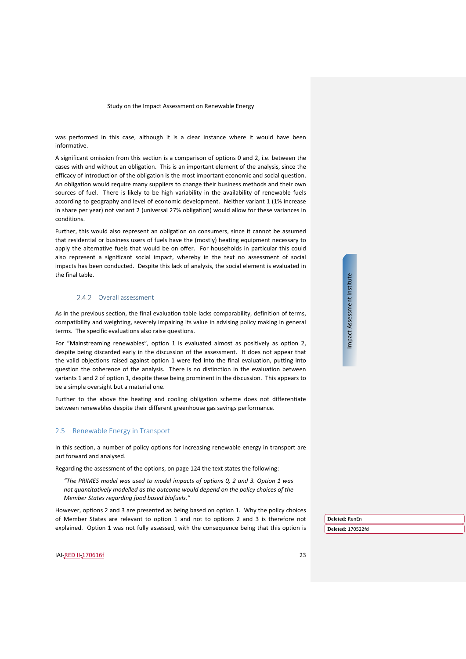was performed in this case, although it is a clear instance where it would have been informative.

A significant omission from this section is a comparison of options 0 and 2, i.e. between the cases with and without an obligation. This is an important element of the analysis, since the efficacy of introduction of the obligation is the most important economic and social question. An obligation would require many suppliers to change their business methods and their own sources of fuel. There is likely to be high variability in the availability of renewable fuels according to geography and level of economic development. Neither variant 1 (1% increase in share per year) not variant 2 (universal 27% obligation) would allow for these variances in conditions.

Further, this would also represent an obligation on consumers, since it cannot be assumed that residential or business users of fuels have the (mostly) heating equipment necessary to apply the alternative fuels that would be on offer. For households in particular this could also represent a significant social impact, whereby in the text no assessment of social impacts has been conducted. Despite this lack of analysis, the social element is evaluated in the final table.

#### 2.4.2 Overall assessment

As in the previous section, the final evaluation table lacks comparability, definition of terms, compatibility and weighting, severely impairing its value in advising policy making in general terms. The specific evaluations also raise questions.

For "Mainstreaming renewables", option 1 is evaluated almost as positively as option 2, despite being discarded early in the discussion of the assessment. It does not appear that the valid objections raised against option 1 were fed into the final evaluation, putting into question the coherence of the analysis. There is no distinction in the evaluation between variants 1 and 2 of option 1, despite these being prominent in the discussion. This appears to be a simple oversight but a material one.

Further to the above the heating and cooling obligation scheme does not differentiate between renewables despite their different greenhouse gas savings performance.

#### <span id="page-22-0"></span>2.5 Renewable Energy in Transport

In this section, a number of policy options for increasing renewable energy in transport are put forward and analysed.

Regarding the assessment of the options, on page 124 the text states the following:

*"The PRIMES model was used to model impacts of options 0, 2 and 3. Option 1 was not quantitatively modelled as the outcome would depend on the policy choices of the Member States regarding food based biofuels."*

However, options 2 and 3 are presented as being based on option 1. Why the policy choices of Member States are relevant to option 1 and not to options 2 and 3 is therefore not explained. Option 1 was not fully assessed, with the consequence being that this option is Impact Assessment Institute Impact Assessment Institute

**Deleted:** RenEn **Deleted:** 170522fd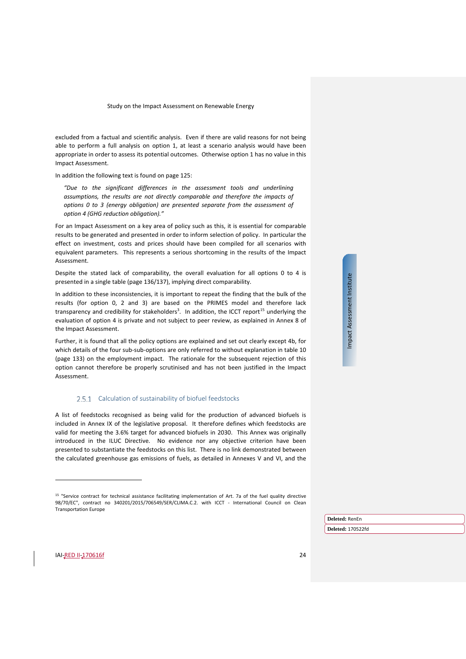excluded from a factual and scientific analysis. Even if there are valid reasons for not being able to perform a full analysis on option 1, at least a scenario analysis would have been appropriate in order to assess its potential outcomes. Otherwise option 1 has no value in this Impact Assessment.

In addition the following text is found on page 125:

*"Due to the significant differences in the assessment tools and underlining assumptions, the results are not directly comparable and therefore the impacts of options 0 to 3 (energy obligation) are presented separate from the assessment of option 4 (GHG reduction obligation)."*

For an Impact Assessment on a key area of policy such as this, it is essential for comparable results to be generated and presented in order to inform selection of policy. In particular the effect on investment, costs and prices should have been compiled for all scenarios with equivalent parameters. This represents a serious shortcoming in the results of the Impact Assessment.

Despite the stated lack of comparability, the overall evaluation for all options 0 to 4 is presented in a single table (page 136/137), implying direct comparability.

In addition to these inconsistencies, it is important to repeat the finding that the bulk of the results (for option 0, 2 and 3) are based on the PRIMES model and therefore lack transparency and credibility for stakeholders<sup>3</sup>. In addition, the ICCT report<sup>[15](#page-23-0)</sup> underlying the evaluation of option 4 is private and not subject to peer review, as explained in Annex 8 of the Impact Assessment.

Further, it is found that all the policy options are explained and set out clearly except 4b, for which details of the four sub-sub-options are only referred to without explanation in table 10 (page 133) on the employment impact. The rationale for the subsequent rejection of this option cannot therefore be properly scrutinised and has not been justified in the Impact Assessment.

#### 2.5.1 Calculation of sustainability of biofuel feedstocks

A list of feedstocks recognised as being valid for the production of advanced biofuels is included in Annex IX of the legislative proposal. It therefore defines which feedstocks are valid for meeting the 3.6% target for advanced biofuels in 2030. This Annex was originally introduced in the ILUC Directive. No evidence nor any objective criterion have been presented to substantiate the feedstocks on this list. There is no link demonstrated between the calculated greenhouse gas emissions of fuels, as detailed in Annexes V and VI, and the Impact Assessment Institute Impact Assessment Institute

**Deleted:** RenEn

**Deleted:** 170522fd

<span id="page-23-0"></span><sup>&</sup>lt;sup>15</sup> "Service contract for technical assistance facilitating implementation of Art. 7a of the fuel quality directive 98/70/EC", contract no 340201/2015/706549/SER/CLIMA.C.2. with ICCT - International Council on Clean Transportation Europe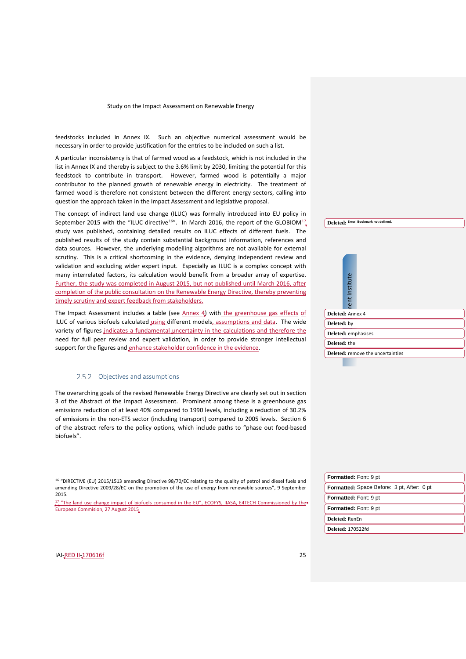feedstocks included in Annex IX. Such an objective numerical assessment would be necessary in order to provide justification for the entries to be included on such a list.

A particular inconsistency is that of farmed wood as a feedstock, which is not included in the list in Annex IX and thereby is subject to the 3.6% limit by 2030, limiting the potential for this feedstock to contribute in transport. However, farmed wood is potentially a major contributor to the planned growth of renewable energy in electricity. The treatment of farmed wood is therefore not consistent between the different energy sectors, calling into question the approach taken in the Impact Assessment and legislative proposal.

The concept of indirect land use change (ILUC) was formally introduced into EU policy in September 2015 with the "ILUC directive<sup>[16](#page-24-0)"</sup>. In March 2016, the report of the GLOBIOM<sup>[17](#page-24-1)</sup> study was published, containing detailed results on ILUC effects of different fuels. The published results of the study contain substantial background information, references and data sources. However, the underlying modelling algorithms are not available for external scrutiny. This is a critical shortcoming in the evidence, denying independent review and validation and excluding wider expert input. Especially as ILUC is a complex concept with many interrelated factors, its calculation would benefit from a broader array of expertise. Further, the study was completed in August 2015, but not published until March 2016, after completion of the public consultation on the Renewable Energy Directive, thereby preventing timely scrutiny and expert feedback from stakeholders.

The Impact Assessment includes a table (see [Annex 4\)](#page-49-0) with the greenhouse gas effects of ILUC of various biofuels calculated using different models, assumptions and data. The wide variety of figures indicates a fundamental uncertainty in the calculations and therefore the need for full peer review and expert validation, in order to provide stronger intellectual support for the figures and enhance stakeholder confidence in the evidence.

#### 2.5.2 Objectives and assumptions

<span id="page-24-2"></span>The overarching goals of the revised Renewable Energy Directive are clearly set out in section 3 of the Abstract of the Impact Assessment. Prominent among these is a greenhouse gas emissions reduction of at least 40% compared to 1990 levels, including a reduction of 30.2% of emissions in the non-ETS sector (including transport) compared to 2005 levels. Section 6 of the abstract refers to the policy options, which include paths to "phase out food-based biofuels".

|                  |               | Deleted: Error! Bookmark not defined.    |
|------------------|---------------|------------------------------------------|
|                  |               |                                          |
|                  |               |                                          |
|                  |               |                                          |
|                  |               |                                          |
|                  |               |                                          |
|                  |               |                                          |
|                  | ent Institute |                                          |
|                  |               |                                          |
|                  |               |                                          |
| Deleted: Annex 4 |               |                                          |
| Deleted: by      |               |                                          |
|                  |               | Deleted: emphasises                      |
| Deleted: the     |               |                                          |
|                  |               | <b>Deleted:</b> remove the uncertainties |

| Formatted: Font: 9 pt                      |
|--------------------------------------------|
| Formatted: Space Before: 3 pt, After: 0 pt |
| Formatted: Font: 9 pt                      |
| Formatted: Font: 9 pt                      |
| Deleted: RenEn                             |
| <b>Deleted: 170522fd</b>                   |
|                                            |

<span id="page-24-1"></span>IAI-RED II-170616f 25

<sup>&</sup>lt;sup>16</sup> "DIRECTIVE (EU) 2015/1513 amending Directive 98/70/EC relating to the quality of petrol and diesel fuels and amending Directive 2009/28/EC on the promotion of the use of energy from renewable sources", 9 September 2015.

<span id="page-24-0"></span> $17$  "The land use change impact of biofuels consumed in the EU", ECOFYS, IIASA, E4TECH Commissioned by the European Commision, 27 August 2015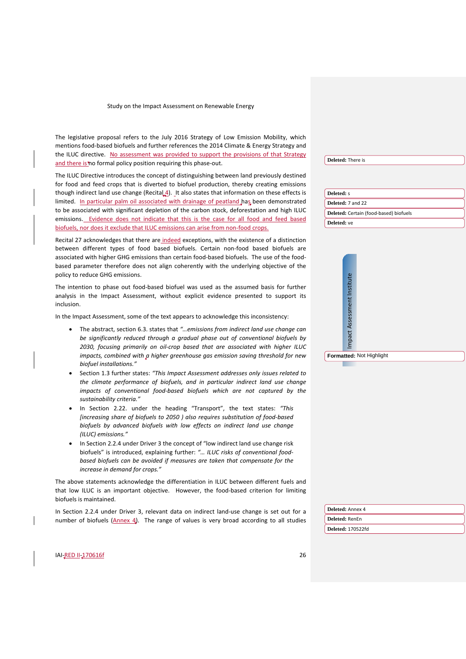The legislative proposal refers to the July 2016 Strategy of Low Emission Mobility, which mentions food-based biofuels and further references the 2014 Climate & Energy Strategy and the ILUC directive. No assessment was provided to support the provisions of that Strategy and there is no formal policy position requiring this phase-out

The ILUC Directive introduces the concept of distinguishing between land previously destined for food and feed crops that is diverted to biofuel production, thereby creating emissions though indirect land use change (Recita $\left( 4 \right)$ . It also states that information on these effects is limited. In particular palm oil associated with drainage of peatland has been demonstrated to be associated with significant depletion of the carbon stock, deforestation and high ILUC emissions. Evidence does not indicate that this is the case for all food and feed based biofuels, nor does it exclude that ILUC emissions can arise from non-food crops.

Recital 27 acknowledges that there are indeed exceptions, with the existence of a distinction between different types of food based biofuels. Certain non-food based biofuels are associated with higher GHG emissions than certain food-based biofuels. The use of the foodbased parameter therefore does not align coherently with the underlying objective of the policy to reduce GHG emissions.

The intention to phase out food-based biofuel was used as the assumed basis for further analysis in the Impact Assessment, without explicit evidence presented to support its inclusion.

In the Impact Assessment, some of the text appears to acknowledge this inconsistency:

- The abstract, section 6.3. states that *"…emissions from indirect land use change can be significantly reduced through a gradual phase out of conventional biofuels by 2030, focusing primarily on oil-crop based that are associated with higher ILUC impacts, combined with a higher greenhouse gas emission saving threshold for new biofuel installations."*
- Section 1.3 further states: *"This Impact Assessment addresses only issues related to the climate performance of biofuels, and in particular indirect land use change impacts of conventional food-based biofuels which are not captured by the sustainability criteria."*
- In Section 2.22. under the heading "Transport", the text states: *"This [increasing share of biofuels to 2050 ) also requires substitution of food-based biofuels by advanced biofuels with low effects on indirect land use change (ILUC) emissions."*
- In Section 2.2.4 under Driver 3 the concept of "low indirect land use change risk biofuels" is introduced, explaining further: *"… ILUC risks of conventional foodbased biofuels can be avoided if measures are taken that compensate for the increase in demand for crops."*

The above statements acknowledge the differentiation in ILUC between different fuels and that low ILUC is an important objective. However, the food-based criterion for limiting biofuels is maintained.

In Section 2.2.4 under Driver 3, relevant data on indirect land-use change is set out for a number of biofuels [\(Annex 4\)](#page-49-0). The range of values is very broad according to all studies **Deleted:** There is

| Deleted: s                             |
|----------------------------------------|
| Deleted: 7 and 22                      |
| Deleted: Certain (food-based) biofuels |
| Deleted: ve                            |

| Impact Assessment Institute |                          |
|-----------------------------|--------------------------|
|                             | Formatted: Not Highlight |

| Deleted: Annex 4  |  |  |  |  |
|-------------------|--|--|--|--|
| Deleted: RenEn    |  |  |  |  |
| Deleted: 170522fd |  |  |  |  |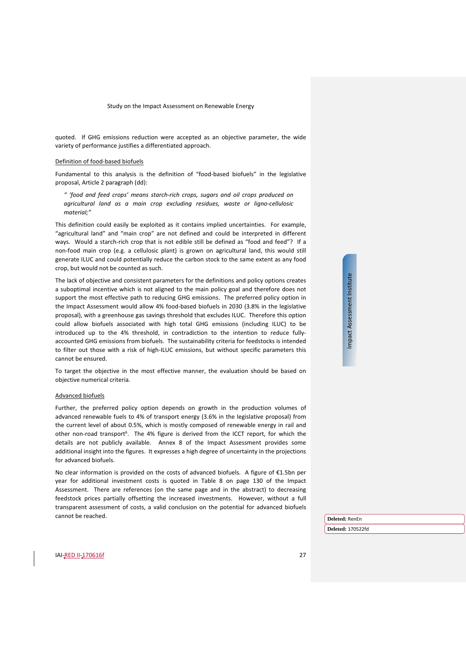quoted. If GHG emissions reduction were accepted as an objective parameter, the wide variety of performance justifies a differentiated approach.

#### Definition of food-based biofuels

Fundamental to this analysis is the definition of "food-based biofuels" in the legislative proposal, Article 2 paragraph (dd):

*" 'food and feed crops' means starch-rich crops, sugars and oil crops produced on agricultural land as a main crop excluding residues, waste or ligno-cellulosic material;"*

This definition could easily be exploited as it contains implied uncertainties. For example, "agricultural land" and "main crop" are not defined and could be interpreted in different ways. Would a starch-rich crop that is not edible still be defined as "food and feed"? If a non-food main crop (e.g. a cellulosic plant) is grown on agricultural land, this would still generate ILUC and could potentially reduce the carbon stock to the same extent as any food crop, but would not be counted as such.

The lack of objective and consistent parameters for the definitions and policy options creates a suboptimal incentive which is not aligned to the main policy goal and therefore does not support the most effective path to reducing GHG emissions. The preferred policy option in the Impact Assessment would allow 4% food-based biofuels in 2030 (3.8% in the legislative proposal), with a greenhouse gas savings threshold that excludes ILUC. Therefore this option could allow biofuels associated with high total GHG emissions (including ILUC) to be introduced up to the 4% threshold, in contradiction to the intention to reduce fullyaccounted GHG emissions from biofuels. The sustainability criteria for feedstocks is intended to filter out those with a risk of high-ILUC emissions, but without specific parameters this cannot be ensured.

To target the objective in the most effective manner, the evaluation should be based on objective numerical criteria.

#### Advanced biofuels

Further, the preferred policy option depends on growth in the production volumes of advanced renewable fuels to 4% of transport energy (3.6% in the legislative proposal) from the current level of about 0.5%, which is mostly composed of renewable energy in rail and other non-road transport<sup>6</sup>. The 4% figure is derived from the ICCT report, for which the details are not publicly available. Annex 8 of the Impact Assessment provides some additional insight into the figures. It expresses a high degree of uncertainty in the projections for advanced biofuels.

No clear information is provided on the costs of advanced biofuels. A figure of €1.5bn per year for additional investment costs is quoted in Table 8 on page 130 of the Impact Assessment. There are references (on the same page and in the abstract) to decreasing feedstock prices partially offsetting the increased investments. However, without a full transparent assessment of costs, a valid conclusion on the potential for advanced biofuels cannot be reached.

Impact Assessment Institute Impact Assessment Institute

IAI-RED II-170616f 27

**Deleted:** RenEn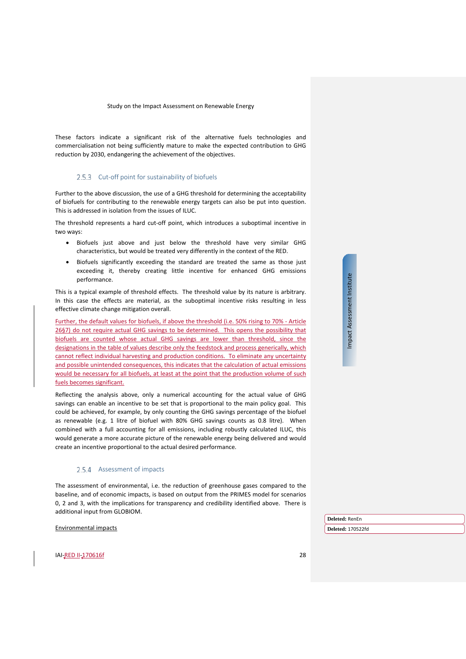These factors indicate a significant risk of the alternative fuels technologies and commercialisation not being sufficiently mature to make the expected contribution to GHG reduction by 2030, endangering the achievement of the objectives.

#### 2.5.3 Cut-off point for sustainability of biofuels

<span id="page-27-0"></span>Further to the above discussion, the use of a GHG threshold for determining the acceptability of biofuels for contributing to the renewable energy targets can also be put into question. This is addressed in isolation from the issues of ILUC.

The threshold represents a hard cut-off point, which introduces a suboptimal incentive in two ways:

- Biofuels just above and just below the threshold have very similar GHG characteristics, but would be treated very differently in the context of the RED.
- Biofuels significantly exceeding the standard are treated the same as those just exceeding it, thereby creating little incentive for enhanced GHG emissions performance.

This is a typical example of threshold effects. The threshold value by its nature is arbitrary. In this case the effects are material, as the suboptimal incentive risks resulting in less effective climate change mitigation overall.

Further, the default values for biofuels, if above the threshold (i.e. 50% rising to 70% - Article 26§7) do not require actual GHG savings to be determined. This opens the possibility that biofuels are counted whose actual GHG savings are lower than threshold, since the designations in the table of values describe only the feedstock and process generically, which cannot reflect individual harvesting and production conditions. To eliminate any uncertainty and possible unintended consequences, this indicates that the calculation of actual emissions would be necessary for all biofuels, at least at the point that the production volume of such fuels becomes significant.

Reflecting the analysis above, only a numerical accounting for the actual value of GHG savings can enable an incentive to be set that is proportional to the main policy goal. This could be achieved, for example, by only counting the GHG savings percentage of the biofuel as renewable (e.g. 1 litre of biofuel with 80% GHG savings counts as 0.8 litre). When combined with a full accounting for all emissions, including robustly calculated ILUC, this would generate a more accurate picture of the renewable energy being delivered and would create an incentive proportional to the actual desired performance.

#### 2.5.4 Assessment of impacts

The assessment of environmental, i.e. the reduction of greenhouse gases compared to the baseline, and of economic impacts, is based on output from the PRIMES model for scenarios 0, 2 and 3, with the implications for transparency and credibility identified above. There is additional input from GLOBIOM.

Environmental impacts

**IAI-RED II-170616f** 28

Impact Assessment Institute Impact Assessment Institute

**Deleted:** RenEn **Deleted:** 170522fd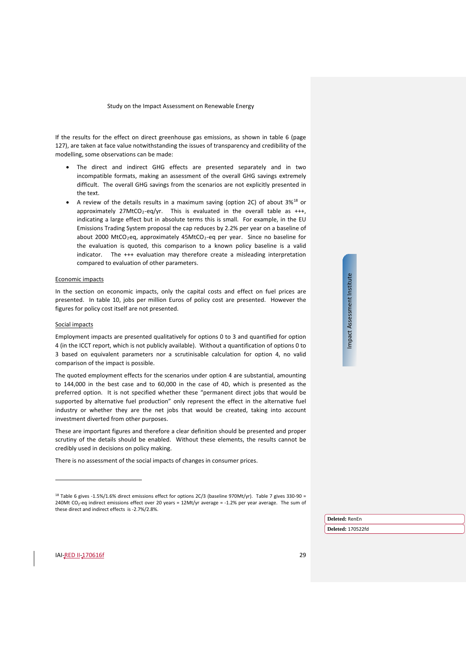If the results for the effect on direct greenhouse gas emissions, as shown in table 6 (page 127), are taken at face value notwithstanding the issues of transparency and credibility of the modelling, some observations can be made:

- The direct and indirect GHG effects are presented separately and in two incompatible formats, making an assessment of the overall GHG savings extremely difficult. The overall GHG savings from the scenarios are not explicitly presented in the text.
- A review of the details results in a maximum saving (option 2C) of about  $3\%^{18}$  $3\%^{18}$  $3\%^{18}$  or approximately 27MtCO<sub>2</sub>-eq/yr. This is evaluated in the overall table as  $+++$ , indicating a large effect but in absolute terms this is small. For example, in the EU Emissions Trading System proposal the cap reduces by 2.2% per year on a baseline of about 2000 MtCO<sub>2</sub>eq, approximately 45MtCO<sub>2</sub>-eq per year. Since no baseline for the evaluation is quoted, this comparison to a known policy baseline is a valid indicator. The +++ evaluation may therefore create a misleading interpretation compared to evaluation of other parameters.

#### Economic impacts

In the section on economic impacts, only the capital costs and effect on fuel prices are presented. In table 10, jobs per million Euros of policy cost are presented. However the figures for policy cost itself are not presented.

#### Social impacts

Employment impacts are presented qualitatively for options 0 to 3 and quantified for option 4 (in the ICCT report, which is not publicly available). Without a quantification of options 0 to 3 based on equivalent parameters nor a scrutinisable calculation for option 4, no valid comparison of the impact is possible.

The quoted employment effects for the scenarios under option 4 are substantial, amounting to 144,000 in the best case and to 60,000 in the case of 4D, which is presented as the preferred option. It is not specified whether these "permanent direct jobs that would be supported by alternative fuel production" only represent the effect in the alternative fuel industry or whether they are the net jobs that would be created, taking into account investment diverted from other purposes.

These are important figures and therefore a clear definition should be presented and proper scrutiny of the details should be enabled. Without these elements, the results cannot be credibly used in decisions on policy making.

There is no assessment of the social impacts of changes in consumer prices.

Impact Assessment Institute Impact Assessment Institute

**Deleted:** RenEn

**Deleted:** 170522fd

<span id="page-28-0"></span><sup>&</sup>lt;sup>18</sup> Table 6 gives -1.5%/1.6% direct emissions effect for options 2C/3 (baseline 970Mt/yr). Table 7 gives 330-90 = 240Mt CO2-eq indirect emissions effect over 20 years = 12Mt/yr average = -1.2% per year average. The sum of these direct and indirect effects is -2.7%/2.8%.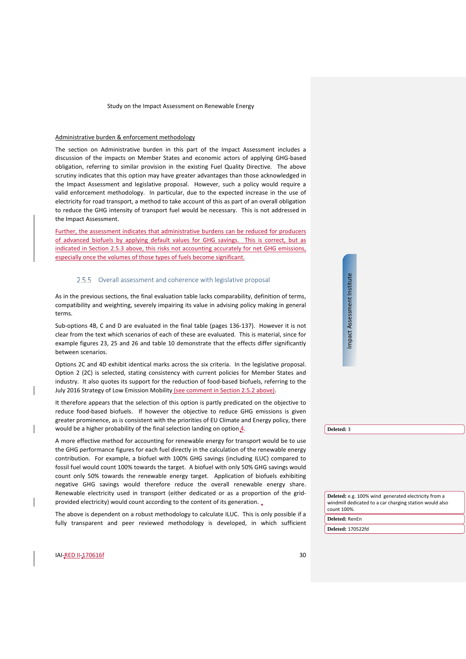#### Administrative burden & enforcement methodology

The section on Administrative burden in this part of the Impact Assessment includes a discussion of the impacts on Member States and economic actors of applying GHG-based obligation, referring to similar provision in the existing Fuel Quality Directive. The above scrutiny indicates that this option may have greater advantages than those acknowledged in the Impact Assessment and legislative proposal. However, such a policy would require a valid enforcement methodology. In particular, due to the expected increase in the use of electricity for road transport, a method to take account of this as part of an overall obligation to reduce the GHG intensity of transport fuel would be necessary. This is not addressed in the Impact Assessment.

Further, the assessment indicates that administrative burdens can be reduced for producers of advanced biofuels by applying default values for GHG savings. This is correct, but as indicated in Section [2.5.3](#page-27-0) above, this risks not accounting accurately for net GHG emissions, especially once the volumes of those types of fuels become significant.

#### 2.5.5 Overall assessment and coherence with legislative proposal

As in the previous sections, the final evaluation table lacks comparability, definition of terms, compatibility and weighting, severely impairing its value in advising policy making in general terms.

Sub-options 4B, C and D are evaluated in the final table (pages 136-137). However it is not clear from the text which scenarios of each of these are evaluated. This is material, since for example figures 23, 25 and 26 and table 10 demonstrate that the effects differ significantly between scenarios.

Options 2C and 4D exhibit identical marks across the six criteria. In the legislative proposal. Option 2 (2C) is selected, stating consistency with current policies for Member States and industry. It also quotes its support for the reduction of food-based biofuels, referring to the July 2016 Strategy of Low Emission Mobility (see comment in Section [2.5.2](#page-24-2) above).

It therefore appears that the selection of this option is partly predicated on the objective to reduce food-based biofuels. If however the objective to reduce GHG emissions is given greater prominence, as is consistent with the priorities of EU Climate and Energy policy, there would be a higher probability of the final selection landing on option 4.

A more effective method for accounting for renewable energy for transport would be to use the GHG performance figures for each fuel directly in the calculation of the renewable energy contribution. For example, a biofuel with 100% GHG savings (including ILUC) compared to fossil fuel would count 100% towards the target. A biofuel with only 50% GHG savings would count only 50% towards the renewable energy target. Application of biofuels exhibiting negative GHG savings would therefore reduce the overall renewable energy share. Renewable electricity used in transport (either dedicated or as a proportion of the gridprovided electricity) would count according to the content of its generation.

The above is dependent on a robust methodology to calculate ILUC. This is only possible if a fully transparent and peer reviewed methodology is developed, in which sufficient **Deleted:** 3

Impact Assessment Institute

Impact Assessment Institute

**Deleted:** e.g. 100% wind generated electricity from a windmill dedicated to a car charging station would also count 100%.

**Deleted:** RenEn

**Deleted:** 170522fd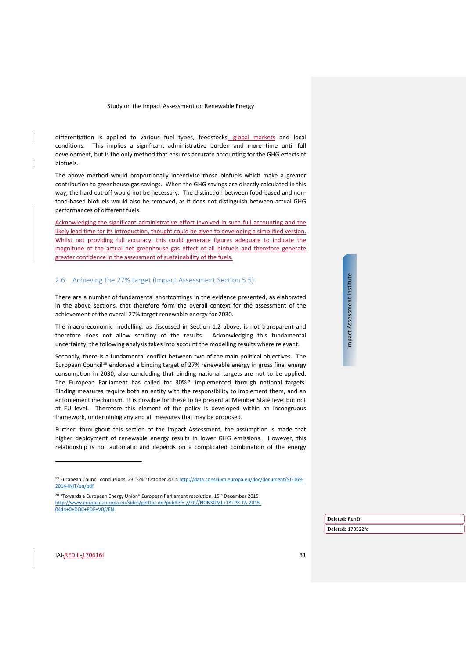differentiation is applied to various fuel types, feedstocks, global markets and local conditions. This implies a significant administrative burden and more time until full development, but is the only method that ensures accurate accounting for the GHG effects of biofuels.

The above method would proportionally incentivise those biofuels which make a greater contribution to greenhouse gas savings. When the GHG savings are directly calculated in this way, the hard cut-off would not be necessary. The distinction between food-based and nonfood-based biofuels would also be removed, as it does not distinguish between actual GHG performances of different fuels.

Acknowledging the significant administrative effort involved in such full accounting and the likely lead time for its introduction, thought could be given to developing a simplified version. Whilst not providing full accuracy, this could generate figures adequate to indicate the magnitude of the actual net greenhouse gas effect of all biofuels and therefore generate greater confidence in the assessment of sustainability of the fuels.

#### <span id="page-30-0"></span>2.6 Achieving the 27% target (Impact Assessment Section 5.5)

There are a number of fundamental shortcomings in the evidence presented, as elaborated in the above sections, that therefore form the overall context for the assessment of the achievement of the overall 27% target renewable energy for 2030.

The macro-economic modelling, as discussed in Section [1.2](#page-6-0) above, is not transparent and therefore does not allow scrutiny of the results. Acknowledging this fundamental uncertainty, the following analysis takes into account the modelling results where relevant.

Secondly, there is a fundamental conflict between two of the main political objectives. The European Council<sup>[19](#page-30-1)</sup> endorsed a binding target of 27% renewable energy in gross final energy consumption in 2030, also concluding that binding national targets are not to be applied. The European Parliament has called for 30%<sup>[20](#page-30-2)</sup> implemented through national targets. Binding measures require both an entity with the responsibility to implement them, and an enforcement mechanism. It is possible for these to be present at Member State level but not at EU level. Therefore this element of the policy is developed within an incongruous framework, undermining any and all measures that may be proposed.

Further, throughout this section of the Impact Assessment, the assumption is made that higher deployment of renewable energy results in lower GHG emissions. However, this relationship is not automatic and depends on a complicated combination of the energy

<span id="page-30-2"></span><span id="page-30-1"></span><sup>20</sup> "Towards a European Energy Union" European Parliament resolution, 15<sup>th</sup> December 2015 [http://www.europarl.europa.eu/sides/getDoc.do?pubRef=-//EP//NONSGML+TA+P8-TA-2015-](http://www.europarl.europa.eu/sides/getDoc.do?pubRef=-//EP//NONSGML+TA+P8-TA-2015-0444+0+DOC+PDF+V0//EN) [0444+0+DOC+PDF+V0//EN](http://www.europarl.europa.eu/sides/getDoc.do?pubRef=-//EP//NONSGML+TA+P8-TA-2015-0444+0+DOC+PDF+V0//EN)

# Impact Assessment Institute Impact Assessment Institute

**Deleted:** RenEn

**Deleted:** 170522fd

<sup>&</sup>lt;sup>19</sup> European Council conclusions, 23<sup>rd</sup>-24<sup>th</sup> October 201[4 http://data.consilium.europa.eu/doc/document/ST-169-](http://data.consilium.europa.eu/doc/document/ST-169-2014-INIT/en/pdf) [2014-INIT/en/pdf](http://data.consilium.europa.eu/doc/document/ST-169-2014-INIT/en/pdf)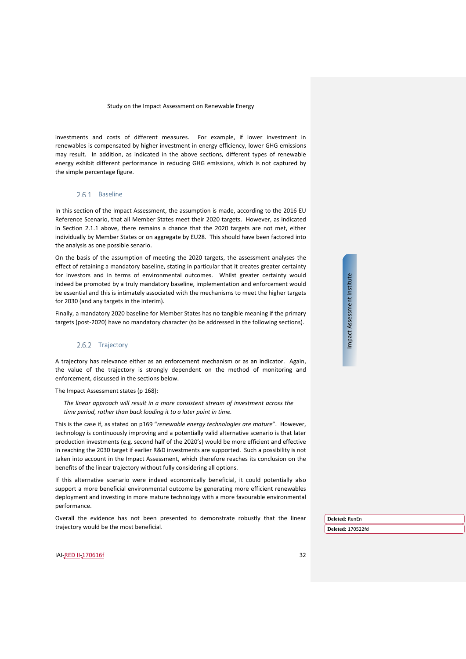investments and costs of different measures. For example, if lower investment in renewables is compensated by higher investment in energy efficiency, lower GHG emissions may result. In addition, as indicated in the above sections, different types of renewable energy exhibit different performance in reducing GHG emissions, which is not captured by the simple percentage figure.

#### 2.6.1 Baseline

In this section of the Impact Assessment, the assumption is made, according to the 2016 EU Reference Scenario, that all Member States meet their 2020 targets. However, as indicated in Section [2.1.1](#page-7-6) above, there remains a chance that the 2020 targets are not met, either individually by Member States or on aggregate by EU28. This should have been factored into the analysis as one possible senario.

On the basis of the assumption of meeting the 2020 targets, the assessment analyses the effect of retaining a mandatory baseline, stating in particular that it creates greater certainty for investors and in terms of environmental outcomes. Whilst greater certainty would indeed be promoted by a truly mandatory baseline, implementation and enforcement would be essential and this is intimately associated with the mechanisms to meet the higher targets for 2030 (and any targets in the interim).

Finally, a mandatory 2020 baseline for Member States has no tangible meaning if the primary targets (post-2020) have no mandatory character (to be addressed in the following sections).

#### 2.6.2 Trajectory

A trajectory has relevance either as an enforcement mechanism or as an indicator. Again, the value of the trajectory is strongly dependent on the method of monitoring and enforcement, discussed in the sections below.

The Impact Assessment states (p 168):

*The linear approach will result in a more consistent stream of investment across the time period, rather than back loading it to a later point in time.*

This is the case if, as stated on p169 "*renewable energy technologies are mature*". However, technology is continuously improving and a potentially valid alternative scenario is that later production investments (e.g. second half of the 2020's) would be more efficient and effective in reaching the 2030 target if earlier R&D investments are supported. Such a possibility is not taken into account in the Impact Assessment, which therefore reaches its conclusion on the benefits of the linear trajectory without fully considering all options.

If this alternative scenario were indeed economically beneficial, it could potentially also support a more beneficial environmental outcome by generating more efficient renewables deployment and investing in more mature technology with a more favourable environmental performance.

Overall the evidence has not been presented to demonstrate robustly that the linear trajectory would be the most beneficial.

Impact Assessment Institute Impact Assessment Institute

**Deleted:** RenEn

**Deleted:** 170522fd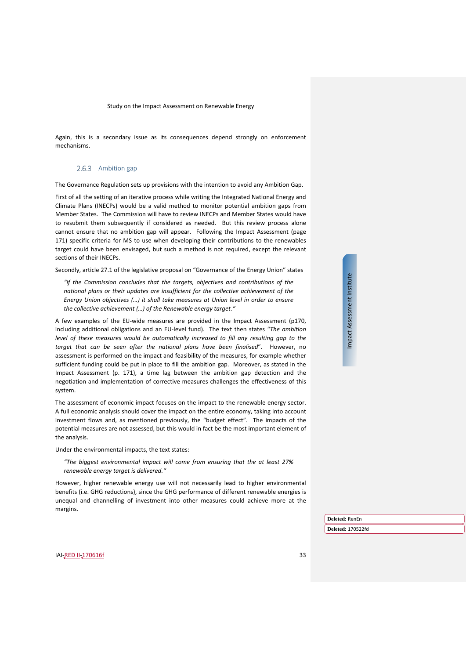Again, this is a secondary issue as its consequences depend strongly on enforcement mechanisms.

#### 2.6.3 Ambition gap

The Governance Regulation sets up provisions with the intention to avoid any Ambition Gap.

First of all the setting of an iterative process while writing the Integrated National Energy and Climate Plans (INECPs) would be a valid method to monitor potential ambition gaps from Member States. The Commission will have to review INECPs and Member States would have to resubmit them subsequently if considered as needed. But this review process alone cannot ensure that no ambition gap will appear. Following the Impact Assessment (page 171) specific criteria for MS to use when developing their contributions to the renewables target could have been envisaged, but such a method is not required, except the relevant sections of their INECPs.

Secondly, article 27.1 of the legislative proposal on "Governance of the Energy Union" states

*"if the Commission concludes that the targets, objectives and contributions of the national plans or their updates are insufficient for the collective achievement of the Energy Union objectives (…) it shall take measures at Union level in order to ensure the collective achievement (…) of the Renewable energy target."*

A few examples of the EU-wide measures are provided in the Impact Assessment (p170, including additional obligations and an EU-level fund). The text then states "*The ambition level of these measures would be automatically increased to fill any resulting gap to the target that can be seen after the national plans have been finalised*". However, no assessment is performed on the impact and feasibility of the measures, for example whether sufficient funding could be put in place to fill the ambition gap. Moreover, as stated in the Impact Assessment (p. 171), a time lag between the ambition gap detection and the negotiation and implementation of corrective measures challenges the effectiveness of this system.

The assessment of economic impact focuses on the impact to the renewable energy sector. A full economic analysis should cover the impact on the entire economy, taking into account investment flows and, as mentioned previously, the "budget effect". The impacts of the potential measures are not assessed, but this would in fact be the most important element of the analysis.

Under the environmental impacts, the text states:

*"The biggest environmental impact will come from ensuring that the at least 27% renewable energy target is delivered."*

However, higher renewable energy use will not necessarily lead to higher environmental benefits (i.e. GHG reductions), since the GHG performance of different renewable energies is unequal and channelling of investment into other measures could achieve more at the margins.

Impact Assessment Institute Impact Assessment Institute

IAI-RED II-170616f 33

**Deleted:** RenEn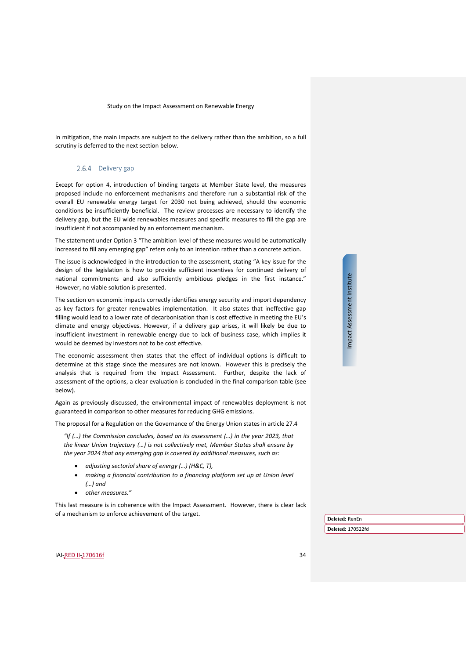In mitigation, the main impacts are subject to the delivery rather than the ambition, so a full scrutiny is deferred to the next section below.

#### 2.6.4 Delivery gap

Except for option 4, introduction of binding targets at Member State level, the measures proposed include no enforcement mechanisms and therefore run a substantial risk of the overall EU renewable energy target for 2030 not being achieved, should the economic conditions be insufficiently beneficial. The review processes are necessary to identify the delivery gap, but the EU wide renewables measures and specific measures to fill the gap are insufficient if not accompanied by an enforcement mechanism.

The statement under Option 3 "The ambition level of these measures would be automatically increased to fill any emerging gap" refers only to an intention rather than a concrete action.

The issue is acknowledged in the introduction to the assessment, stating "A key issue for the design of the legislation is how to provide sufficient incentives for continued delivery of national commitments and also sufficiently ambitious pledges in the first instance." However, no viable solution is presented.

The section on economic impacts correctly identifies energy security and import dependency as key factors for greater renewables implementation. It also states that ineffective gap filling would lead to a lower rate of decarbonisation than is cost effective in meeting the EU's climate and energy objectives. However, if a delivery gap arises, it will likely be due to insufficient investment in renewable energy due to lack of business case, which implies it would be deemed by investors not to be cost effective.

The economic assessment then states that the effect of individual options is difficult to determine at this stage since the measures are not known. However this is precisely the analysis that is required from the Impact Assessment. Further, despite the lack of assessment of the options, a clear evaluation is concluded in the final comparison table (see below).

Again as previously discussed, the environmental impact of renewables deployment is not guaranteed in comparison to other measures for reducing GHG emissions.

The proposal for a Regulation on the Governance of the Energy Union states in article 27.4

*"If (…) the Commission concludes, based on its assessment (…) in the year 2023, that the linear Union trajectory (…) is not collectively met, Member States shall ensure by the year 2024 that any emerging gap is covered by additional measures, such as:* 

- *adjusting sectorial share of energy (…) (H&C, T),*
- *making a financial contribution to a financing platform set up at Union level (…) and*
- *other measures."*

This last measure is in coherence with the Impact Assessment. However, there is clear lack of a mechanism to enforce achievement of the target.

Impact Assessment Institute Impact Assessment Institute

**Deleted:** RenEn **Deleted:** 170522fd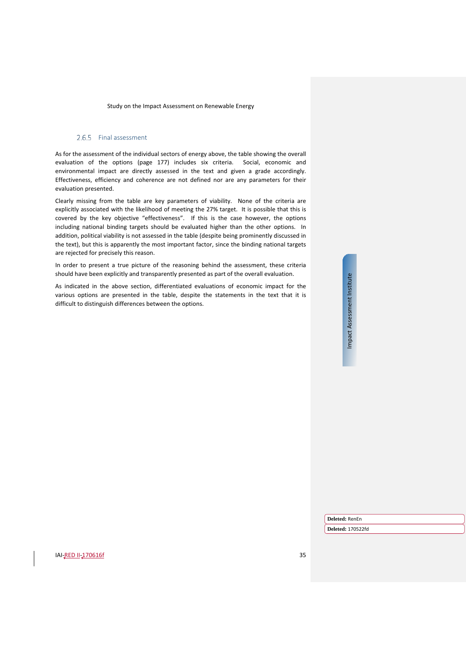#### 2.6.5 Final assessment

As for the assessment of the individual sectors of energy above, the table showing the overall evaluation of the options (page 177) includes six criteria. Social, economic and environmental impact are directly assessed in the text and given a grade accordingly. Effectiveness, efficiency and coherence are not defined nor are any parameters for their evaluation presented.

Clearly missing from the table are key parameters of viability. None of the criteria are explicitly associated with the likelihood of meeting the 27% target. It is possible that this is covered by the key objective "effectiveness". If this is the case however, the options including national binding targets should be evaluated higher than the other options. In addition, political viability is not assessed in the table (despite being prominently discussed in the text), but this is apparently the most important factor, since the binding national targets are rejected for precisely this reason.

In order to present a true picture of the reasoning behind the assessment, these criteria should have been explicitly and transparently presented as part of the overall evaluation.

As indicated in the above section, differentiated evaluations of economic impact for the various options are presented in the table, despite the statements in the text that it is difficult to distinguish differences between the options.

Impact Assessment Institute Impact Assessment Institute

**Deleted:** RenEn

**Deleted:** 170522fd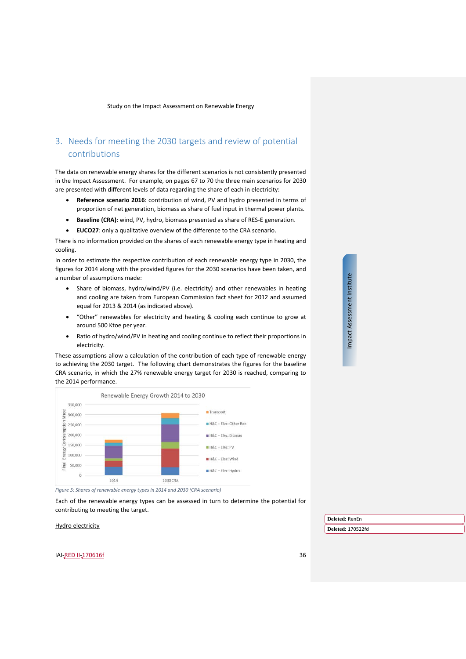# <span id="page-35-0"></span>3. Needs for meeting the 2030 targets and review of potential contributions

The data on renewable energy shares for the different scenarios is not consistently presented in the Impact Assessment. For example, on pages 67 to 70 the three main scenarios for 2030 are presented with different levels of data regarding the share of each in electricity:

- **Reference scenario 2016**: contribution of wind, PV and hydro presented in terms of proportion of net generation, biomass as share of fuel input in thermal power plants.
- **Baseline (CRA)**: wind, PV, hydro, biomass presented as share of RES-E generation.
- **EUCO27**: only a qualitative overview of the difference to the CRA scenario.

There is no information provided on the shares of each renewable energy type in heating and cooling.

In order to estimate the respective contribution of each renewable energy type in 2030, the figures for 2014 along with the provided figures for the 2030 scenarios have been taken, and a number of assumptions made:

- Share of biomass, hydro/wind/PV (i.e. electricity) and other renewables in heating and cooling are taken from European Commission fact sheet for 2012 and assumed equal for 2013 & 2014 (as indicated above).
- "Other" renewables for electricity and heating & cooling each continue to grow at around 500 Ktoe per year.
- Ratio of hydro/wind/PV in heating and cooling continue to reflect their proportions in electricity.

These assumptions allow a calculation of the contribution of each type of renewable energy to achieving the 2030 target. The following chart demonstrates the figures for the baseline CRA scenario, in which the 27% renewable energy target for 2030 is reached, comparing to the 2014 performance.



*Figure 5: Shares of renewable energy types in 2014 and 2030 (CRA scenario)*

Each of the renewable energy types can be assessed in turn to determine the potential for contributing to meeting the target.

Hydro electricity

**Deleted:** RenEn **Deleted:** 170522fd

**IAI-RED II-170616f** 36

Impact Assessment Institute Impact Assessment Institute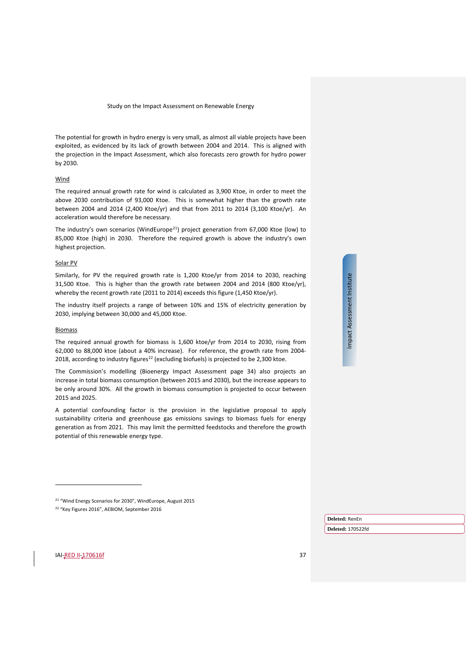The potential for growth in hydro energy is very small, as almost all viable projects have been exploited, as evidenced by its lack of growth between 2004 and 2014. This is aligned with the projection in the Impact Assessment, which also forecasts zero growth for hydro power by 2030.

#### **Wind**

The required annual growth rate for wind is calculated as 3,900 Ktoe, in order to meet the above 2030 contribution of 93,000 Ktoe. This is somewhat higher than the growth rate between 2004 and 2014 (2,400 Ktoe/yr) and that from 2011 to 2014 (3,100 Ktoe/yr). An acceleration would therefore be necessary.

The industry's own scenarios (WindEurope<sup>21</sup>) project generation from 67,000 Ktoe (low) to 85,000 Ktoe (high) in 2030. Therefore the required growth is above the industry's own highest projection.

#### Solar PV

Similarly, for PV the required growth rate is 1,200 Ktoe/yr from 2014 to 2030, reaching 31,500 Ktoe. This is higher than the growth rate between 2004 and 2014 (800 Ktoe/yr), whereby the recent growth rate (2011 to 2014) exceeds this figure (1,450 Ktoe/yr).

The industry itself projects a range of between 10% and 15% of electricity generation by 2030, implying between 30,000 and 45,000 Ktoe.

#### Biomass

The required annual growth for biomass is 1,600 ktoe/yr from 2014 to 2030, rising from 62,000 to 88,000 ktoe (about a 40% increase). For reference, the growth rate from 2004- 2018, according to industry figures<sup>[22](#page-36-1)</sup> (excluding biofuels) is projected to be 2,300 ktoe.

The Commission's modelling (Bioenergy Impact Assessment page 34) also projects an increase in total biomass consumption (between 2015 and 2030), but the increase appears to be only around 30%. All the growth in biomass consumption is projected to occur between 2015 and 2025.

A potential confounding factor is the provision in the legislative proposal to apply sustainability criteria and greenhouse gas emissions savings to biomass fuels for energy generation as from 2021. This may limit the permitted feedstocks and therefore the growth potential of this renewable energy type.

<sup>21</sup> "Wind Energy Scenarios for 2030", WindEurope, August 2015 <sup>22</sup> "Key Figures 2016", AEBIOM, September 2016

Impact Assessment Institute Impact Assessment Institute

**Deleted:** RenEn

**Deleted:** 170522fd

<span id="page-36-1"></span><span id="page-36-0"></span>**IAI-RED II-170616f** 37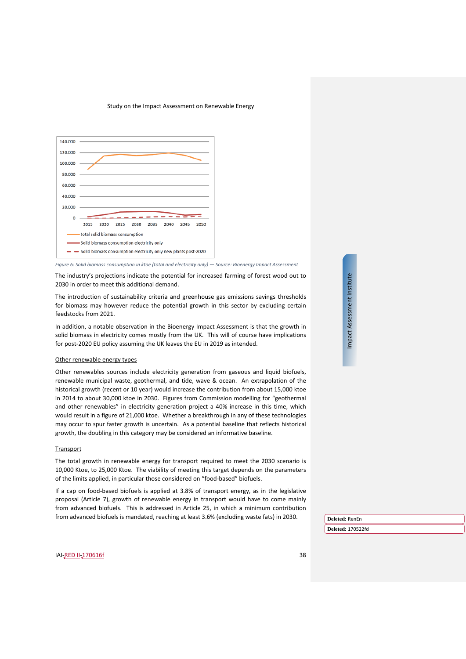

*Figure 6: Solid biomass consumption in ktoe (total and electricity only) — Source: Bioenergy Impact Assessment*

The industry's projections indicate the potential for increased farming of forest wood out to 2030 in order to meet this additional demand.

The introduction of sustainability criteria and greenhouse gas emissions savings thresholds for biomass may however reduce the potential growth in this sector by excluding certain feedstocks from 2021.

In addition, a notable observation in the Bioenergy Impact Assessment is that the growth in solid biomass in electricity comes mostly from the UK. This will of course have implications for post-2020 EU policy assuming the UK leaves the EU in 2019 as intended.

#### Other renewable energy types

Other renewables sources include electricity generation from gaseous and liquid biofuels, renewable municipal waste, geothermal, and tide, wave & ocean. An extrapolation of the historical growth (recent or 10 year) would increase the contribution from about 15,000 ktoe in 2014 to about 30,000 ktoe in 2030. Figures from Commission modelling for "geothermal and other renewables" in electricity generation project a 40% increase in this time, which would result in a figure of 21,000 ktoe. Whether a breakthrough in any of these technologies may occur to spur faster growth is uncertain. As a potential baseline that reflects historical growth, the doubling in this category may be considered an informative baseline.

#### **Transport**

The total growth in renewable energy for transport required to meet the 2030 scenario is 10,000 Ktoe, to 25,000 Ktoe. The viability of meeting this target depends on the parameters of the limits applied, in particular those considered on "food-based" biofuels.

If a cap on food-based biofuels is applied at 3.8% of transport energy, as in the legislative proposal (Article 7), growth of renewable energy in transport would have to come mainly from advanced biofuels. This is addressed in Article 25, in which a minimum contribution from advanced biofuels is mandated, reaching at least 3.6% (excluding waste fats) in 2030.

Impact Assessment Institute Impact Assessment Institute

**Deleted:** RenEn **Deleted:** 170522fd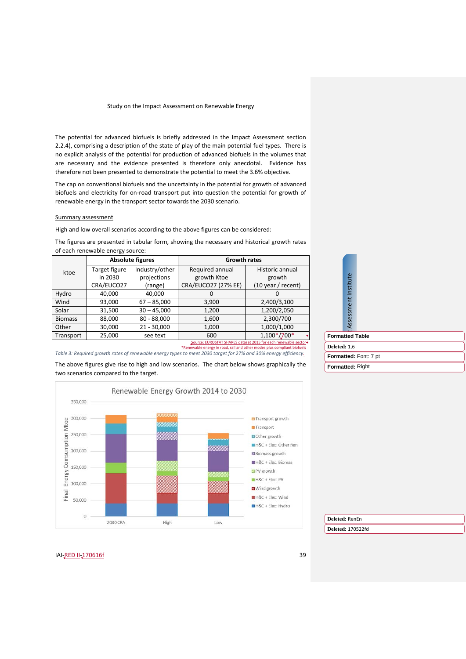The potential for advanced biofuels is briefly addressed in the Impact Assessment section 2.2.4), comprising a description of the state of play of the main potential fuel types. There is no explicit analysis of the potential for production of advanced biofuels in the volumes that are necessary and the evidence presented is therefore only anecdotal. Evidence has therefore not been presented to demonstrate the potential to meet the 3.6% objective.

The cap on conventional biofuels and the uncertainty in the potential for growth of advanced biofuels and electricity for on-road transport put into question the potential for growth of renewable energy in the transport sector towards the 2030 scenario.

#### Summary assessment

High and low overall scenarios according to the above figures can be considered:

The figures are presented in tabular form, showing the necessary and historical growth rates of each renewable energy source: **Absolute figures Growth rates**

| ktoe           | Target figure | Industry/other | Required annual     | Historic annual                                                |  |  |
|----------------|---------------|----------------|---------------------|----------------------------------------------------------------|--|--|
|                | in 2030       | projections    | growth Ktoe         | growth                                                         |  |  |
|                | CRA/EUCO27    | (range)        | CRA/EUCO27 (27% EE) | $(10 \text{ year} / \text{ recent})$                           |  |  |
| Hydro          | 40,000        | 40,000         | 0                   | 0                                                              |  |  |
| Wind           | 93,000        | $67 - 85,000$  | 3,900               | 2,400/3,100                                                    |  |  |
| Solar          | 31.500        | $30 - 45,000$  | 1,200               | 1,200/2,050                                                    |  |  |
| <b>Biomass</b> | 88,000        | $80 - 88,000$  | 1,600               | 2,300/700                                                      |  |  |
| Other          | 30,000        | $21 - 30,000$  | 1,000               | 1,000/1,000                                                    |  |  |
| Transport      | 25,000        | see text       | 600                 | 1,100*/700*                                                    |  |  |
|                |               |                |                     | Source: EUROSTAT SHARES dataset 2015 for each renewable sector |  |  |

|                        | Assessment Institute |                       |  |  |
|------------------------|----------------------|-----------------------|--|--|
| <b>Formatted Table</b> |                      |                       |  |  |
| Deleted: 1,6           |                      |                       |  |  |
|                        |                      | Formatted: Font: 7 pt |  |  |
| Formatted: Right       |                      |                       |  |  |

*Table 3: Required growth rates of renewable energy types to meet 2030 target for 27% and 30% energy efficiency.*  The above figures give rise to high and low scenarios. The chart below shows graphically the two scenarios compared to the target.

\*Renewable energy in road, rail and other modes plus compliant biofuels



#### **Deleted:** RenEn

**Deleted:** 170522fd

essment Institute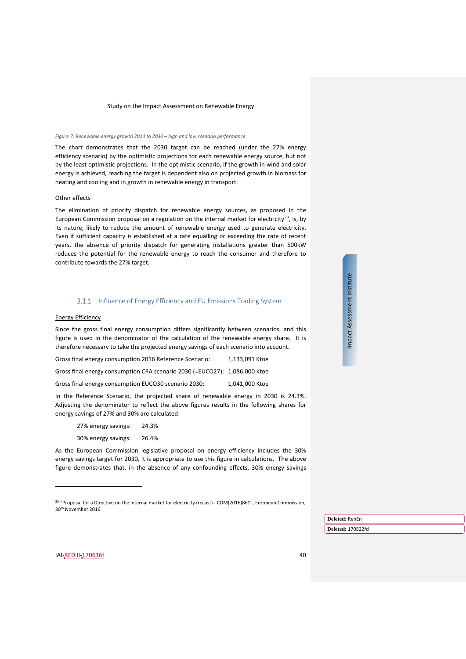*Figure 7: Renewable energy growth 2014 to 2030 – high and low scenario performance*

The chart demonstrates that the 2030 target can be reached (under the 27% energy efficiency scenario) by the optimistic projections for each renewable energy source, but not by the least optimistic projections. In the optimistic scenario, if the growth in wind and solar energy is achieved, reaching the target is dependent also on projected growth in biomass for heating and cooling and in growth in renewable energy in transport.

#### Other effects

The elimination of priority dispatch for renewable energy sources, as proposed in the European Commission proposal on a regulation on the internal market for electricity<sup>[23](#page-39-0)</sup>, is, by its nature, likely to reduce the amount of renewable energy used to generate electricity. Even if sufficient capacity is established at a rate equalling or exceeding the rate of recent years, the absence of priority dispatch for generating installations greater than 500kW reduces the potential for the renewable energy to reach the consumer and therefore to contribute towards the 27% target.

#### 3.1.1 Influence of Energy Efficiency and EU Emissions Trading System

#### Energy Efficiency

Since the gross final energy consumption differs significantly between scenarios, and this figure is used in the denominator of the calculation of the renewable energy share. It is therefore necessary to take the projected energy savings of each scenario into account.

Gross final energy consumption 2016 Reference Scenario: 1,133,091 Ktoe

Gross final energy consumption CRA scenario 2030 (=EUCO27): 1,086,000 Ktoe

Gross final energy consumption EUCO30 scenario 2030: 1,041,000 Ktoe

In the Reference Scenario, the projected share of renewable energy in 2030 is 24.3%. Adjusting the denominator to reflect the above figures results in the following shares for energy savings of 27% and 30% are calculated:

27% energy savings: 24.3%

30% energy savings: 26.4%

As the European Commission legislative proposal on energy efficiency includes the 30% energy savings target for 2030, it is appropriate to use this figure in calculations. The above figure demonstrates that, in the absence of any confounding effects, 30% energy savings Impact Assessment Institute Impact Assessment Institute

**Deleted:** RenEn **Deleted:** 170522fd

<span id="page-39-0"></span>IAI-RED II-170616f 40

j

<sup>&</sup>lt;sup>23</sup> "Proposal for a Directive on the internal market for electricity (recast) - COM(2016)861", European Commission, 30th November 2016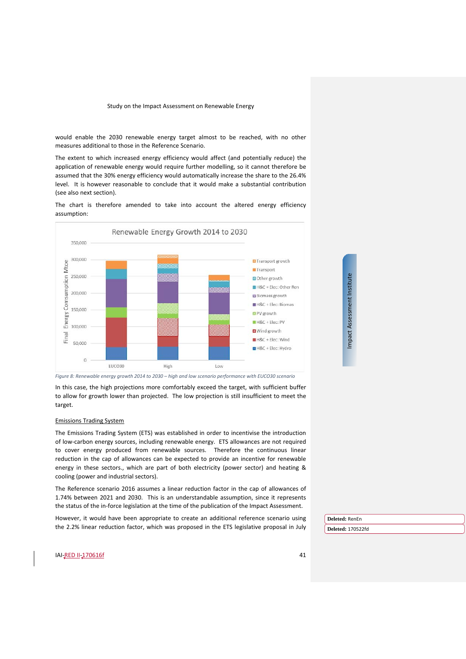would enable the 2030 renewable energy target almost to be reached, with no other measures additional to those in the Reference Scenario.

The extent to which increased energy efficiency would affect (and potentially reduce) the application of renewable energy would require further modelling, so it cannot therefore be assumed that the 30% energy efficiency would automatically increase the share to the 26.4% level. It is however reasonable to conclude that it would make a substantial contribution (see also next section).

The chart is therefore amended to take into account the altered energy efficiency assumption:



*Figure 8: Renewable energy growth 2014 to 2030 – high and low scenario performance with EUCO30 scenario*

In this case, the high projections more comfortably exceed the target, with sufficient buffer to allow for growth lower than projected. The low projection is still insufficient to meet the target.

#### Emissions Trading System

The Emissions Trading System (ETS) was established in order to incentivise the introduction of low-carbon energy sources, including renewable energy. ETS allowances are not required to cover energy produced from renewable sources. Therefore the continuous linear reduction in the cap of allowances can be expected to provide an incentive for renewable energy in these sectors., which are part of both electricity (power sector) and heating & cooling (power and industrial sectors).

The Reference scenario 2016 assumes a linear reduction factor in the cap of allowances of 1.74% between 2021 and 2030. This is an understandable assumption, since it represents the status of the in-force legislation at the time of the publication of the Impact Assessment.

However, it would have been appropriate to create an additional reference scenario using the 2.2% linear reduction factor, which was proposed in the ETS legislative proposal in July

**Deleted:** RenEn

**Deleted:** 170522fd

**IAI-RED II-170616f** 41

Impact Assessment Institute Impact Assessment Institute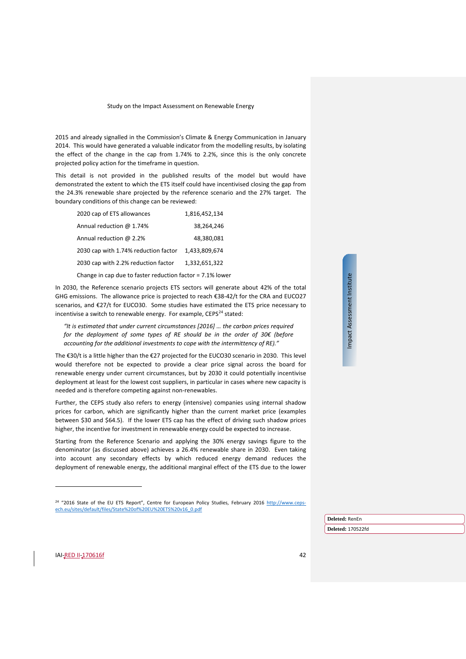2015 and already signalled in the Commission's Climate & Energy Communication in January 2014. This would have generated a valuable indicator from the modelling results, by isolating the effect of the change in the cap from 1.74% to 2.2%, since this is the only concrete projected policy action for the timeframe in question.

This detail is not provided in the published results of the model but would have demonstrated the extent to which the ETS itself could have incentivised closing the gap from the 24.3% renewable share projected by the reference scenario and the 27% target. The boundary conditions of this change can be reviewed:

| 2020 cap of ETS allowances                                | 1.816.452.134 |  |  |  |  |
|-----------------------------------------------------------|---------------|--|--|--|--|
| Annual reduction @ 1.74%                                  | 38,264,246    |  |  |  |  |
| Annual reduction @ 2.2%                                   | 48,380,081    |  |  |  |  |
| 2030 cap with 1.74% reduction factor                      | 1,433,809,674 |  |  |  |  |
| 2030 cap with 2.2% reduction factor                       | 1.332.651.322 |  |  |  |  |
| Change in cap due to faster reduction factor = 7.1% lower |               |  |  |  |  |

In 2030, the Reference scenario projects ETS sectors will generate about 42% of the total GHG emissions. The allowance price is projected to reach €38-42/t for the CRA and EUCO27 scenarios, and €27/t for EUCO30. Some studies have estimated the ETS price necessary to incentivise a switch to renewable energy. For example,  $CEPS<sup>24</sup>$  $CEPS<sup>24</sup>$  $CEPS<sup>24</sup>$  stated:

*"It is estimated that under current circumstances [2016] … the carbon prices required for the deployment of some types of RE should be in the order of 30€ (before accounting for the additional investments to cope with the intermittency of RE)."*

The €30/t is a little higher than the €27 projected for the EUCO30 scenario in 2030. This level would therefore not be expected to provide a clear price signal across the board for renewable energy under current circumstances, but by 2030 it could potentially incentivise deployment at least for the lowest cost suppliers, in particular in cases where new capacity is needed and is therefore competing against non-renewables.

Further, the CEPS study also refers to energy (intensive) companies using internal shadow prices for carbon, which are significantly higher than the current market price (examples between \$30 and \$64.5). If the lower ETS cap has the effect of driving such shadow prices higher, the incentive for investment in renewable energy could be expected to increase.

Starting from the Reference Scenario and applying the 30% energy savings figure to the denominator (as discussed above) achieves a 26.4% renewable share in 2030. Even taking into account any secondary effects by which reduced energy demand reduces the deployment of renewable energy, the additional marginal effect of the ETS due to the lower Impact Assessment Institute Impact Assessment Institute

<span id="page-41-0"></span>IAI-RED II-170616f 42

j

**Deleted:** RenEn

<sup>&</sup>lt;sup>24</sup> "2016 State of the EU ETS Report", Centre for European Policy Studies, February 2016 [http://www.ceps](http://www.ceps-ech.eu/sites/default/files/State%20of%20EU%20ETS%20v16_0.pdf)[ech.eu/sites/default/files/State%20of%20EU%20ETS%20v16\\_0.pdf](http://www.ceps-ech.eu/sites/default/files/State%20of%20EU%20ETS%20v16_0.pdf)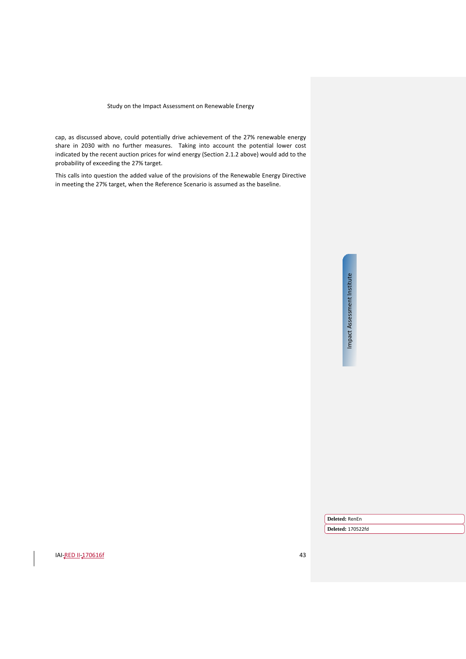cap, as discussed above, could potentially drive achievement of the 27% renewable energy share in 2030 with no further measures. Taking into account the potential lower cost indicated by the recent auction prices for wind energy (Sectio[n 2.1.2](#page-9-1) above) would add to the probability of exceeding the 27% target.

This calls into question the added value of the provisions of the Renewable Energy Directive in meeting the 27% target, when the Reference Scenario is assumed as the baseline.

> Impact Assessment Institute Impact Assessment Institute

**Deleted:** RenEn

**Deleted:** 170522fd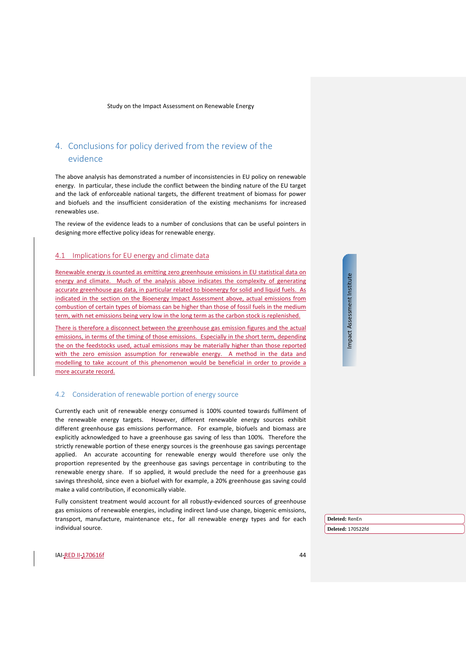# <span id="page-43-0"></span>4. Conclusions for policy derived from the review of the evidence

The above analysis has demonstrated a number of inconsistencies in EU policy on renewable energy. In particular, these include the conflict between the binding nature of the EU target and the lack of enforceable national targets, the different treatment of biomass for power and biofuels and the insufficient consideration of the existing mechanisms for increased renewables use.

The review of the evidence leads to a number of conclusions that can be useful pointers in designing more effective policy ideas for renewable energy.

# 4.1 Implications for EU energy and climate data

Renewable energy is counted as emitting zero greenhouse emissions in EU statistical data on energy and climate. Much of the analysis above indicates the complexity of generating accurate greenhouse gas data, in particular related to bioenergy for solid and liquid fuels. As indicated in the section on the Bioenergy Impact Assessment above, actual emissions from combustion of certain types of biomass can be higher than those of fossil fuels in the medium term, with net emissions being very low in the long term as the carbon stock is replenished.

There is therefore a disconnect between the greenhouse gas emission figures and the actual emissions, in terms of the timing of those emissions. Especially in the short term, depending the on the feedstocks used, actual emissions may be materially higher than those reported with the zero emission assumption for renewable energy. A method in the data and modelling to take account of this phenomenon would be beneficial in order to provide a more accurate record.

#### <span id="page-43-1"></span>4.2 Consideration of renewable portion of energy source

Currently each unit of renewable energy consumed is 100% counted towards fulfilment of the renewable energy targets. However, different renewable energy sources exhibit different greenhouse gas emissions performance. For example, biofuels and biomass are explicitly acknowledged to have a greenhouse gas saving of less than 100%. Therefore the strictly renewable portion of these energy sources is the greenhouse gas savings percentage applied. An accurate accounting for renewable energy would therefore use only the proportion represented by the greenhouse gas savings percentage in contributing to the renewable energy share. If so applied, it would preclude the need for a greenhouse gas savings threshold, since even a biofuel with for example, a 20% greenhouse gas saving could make a valid contribution, if economically viable.

Fully consistent treatment would account for all robustly-evidenced sources of greenhouse gas emissions of renewable energies, including indirect land-use change, biogenic emissions, transport, manufacture, maintenance etc., for all renewable energy types and for each individual source.

Impact Assessment Institute Impact Assessment Institute

**Deleted:** RenEn

**Deleted:** 170522fd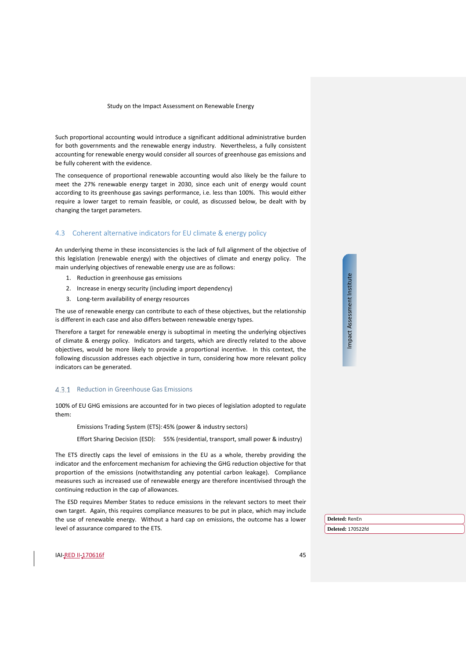Such proportional accounting would introduce a significant additional administrative burden for both governments and the renewable energy industry. Nevertheless, a fully consistent accounting for renewable energy would consider all sources of greenhouse gas emissions and be fully coherent with the evidence.

The consequence of proportional renewable accounting would also likely be the failure to meet the 27% renewable energy target in 2030, since each unit of energy would count according to its greenhouse gas savings performance, i.e. less than 100%. This would either require a lower target to remain feasible, or could, as discussed below, be dealt with by changing the target parameters.

#### <span id="page-44-0"></span>4.3 Coherent alternative indicators for EU climate & energy policy

An underlying theme in these inconsistencies is the lack of full alignment of the objective of this legislation (renewable energy) with the objectives of climate and energy policy. The main underlying objectives of renewable energy use are as follows:

- 1. Reduction in greenhouse gas emissions
- 2. Increase in energy security (including import dependency)
- 3. Long-term availability of energy resources

The use of renewable energy can contribute to each of these objectives, but the relationship is different in each case and also differs between renewable energy types.

Therefore a target for renewable energy is suboptimal in meeting the underlying objectives of climate & energy policy. Indicators and targets, which are directly related to the above objectives, would be more likely to provide a proportional incentive. In this context, the following discussion addresses each objective in turn, considering how more relevant policy indicators can be generated.

#### 4.3.1 Reduction in Greenhouse Gas Emissions

100% of EU GHG emissions are accounted for in two pieces of legislation adopted to regulate them:

Emissions Trading System (ETS): 45% (power & industry sectors)

Effort Sharing Decision (ESD): 55% (residential, transport, small power & industry)

The ETS directly caps the level of emissions in the EU as a whole, thereby providing the indicator and the enforcement mechanism for achieving the GHG reduction objective for that proportion of the emissions (notwithstanding any potential carbon leakage). Compliance measures such as increased use of renewable energy are therefore incentivised through the continuing reduction in the cap of allowances.

The ESD requires Member States to reduce emissions in the relevant sectors to meet their own target. Again, this requires compliance measures to be put in place, which may include the use of renewable energy. Without a hard cap on emissions, the outcome has a lower level of assurance compared to the ETS.

Impact Assessment Institute Impact Assessment Institute

**Deleted:** RenEn

**Deleted:** 170522fd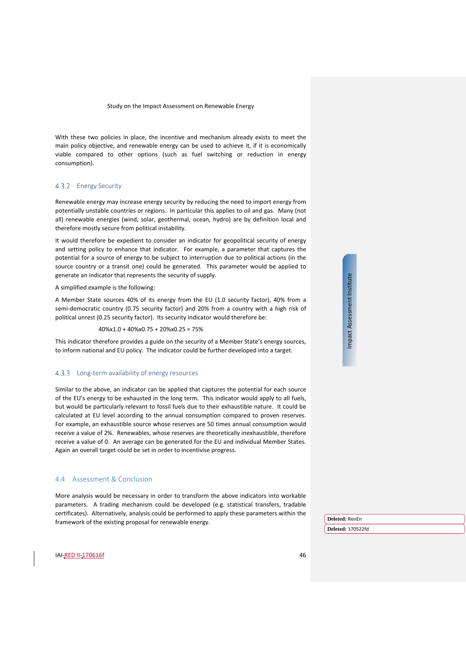With these two policies in place, the incentive and mechanism already exists to meet the main policy objective, and renewable energy can be used to achieve it, if it is economically viable compared to other options (such as fuel switching or reduction in energy consumption).

#### 4.3.2 Energy Security

Renewable energy may increase energy security by reducing the need to import energy from potentially unstable countries or regions. In particular this applies to oil and gas. Many (not all) renewable energies (wind, solar, geothermal, ocean, hydro) are by definition local and therefore mostly secure from political instability.

It would therefore be expedient to consider an indicator for geopolitical security of energy and setting policy to enhance that indicator. For example, a parameter that captures the potential for a source of energy to be subject to interruption due to political actions (in the source country or a transit one) could be generated. This parameter would be applied to generate an indicator that represents the security of supply.

A simplified example is the following:

A Member State sources 40% of its energy from the EU (1.0 security factor), 40% from a semi-democratic country (0.75 security factor) and 20% from a country with a high risk of political unrest (0.25 security factor). Its security indicator would therefore be:

#### 40%x1.0 + 40%x0.75 + 20%x0.25 = 75%

This indicator therefore provides a guide on the security of a Member State's energy sources, to inform national and EU policy. The indicator could be further developed into a target.

#### 4.3.3 Long-term availability of energy resources

Similar to the above, an indicator can be applied that captures the potential for each source of the EU's energy to be exhausted in the long term. This indicator would apply to all fuels, but would be particularly relevant to fossil fuels due to their exhaustible nature. It could be calculated at EU level according to the annual consumption compared to proven reserves. For example, an exhaustible source whose reserves are 50 times annual consumption would receive a value of 2%. Renewables, whose reserves are theoretically inexhaustible, therefore receive a value of 0. An average can be generated for the EU and individual Member States. Again an overall target could be set in order to incentivise progress.

#### <span id="page-45-0"></span>4.4 Assessment & Conclusion

More analysis would be necessary in order to transform the above indicators into workable parameters. A trading mechanism could be developed (e.g. statistical transfers, tradable certificates). Alternatively, analysis could be performed to apply these parameters within the framework of the existing proposal for renewable energy.

Impact Assessment Institute Impact Assessment Institute

**Deleted:** RenEn **Deleted:** 170522fd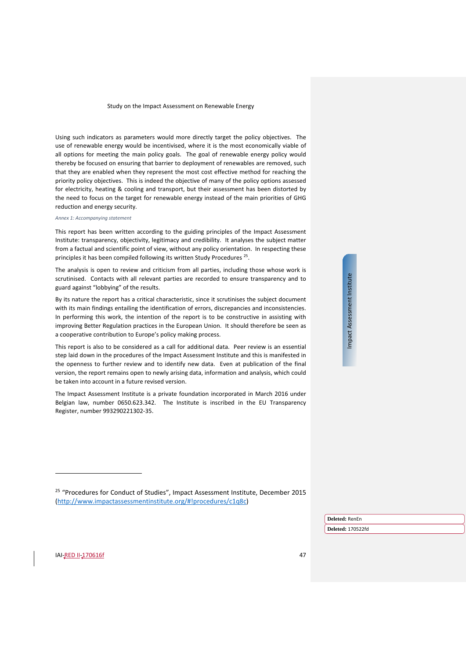Using such indicators as parameters would more directly target the policy objectives. The use of renewable energy would be incentivised, where it is the most economically viable of all options for meeting the main policy goals. The goal of renewable energy policy would thereby be focused on ensuring that barrier to deployment of renewables are removed, such that they are enabled when they represent the most cost effective method for reaching the priority policy objectives. This is indeed the objective of many of the policy options assessed for electricity, heating & cooling and transport, but their assessment has been distorted by the need to focus on the target for renewable energy instead of the main priorities of GHG reduction and energy security.

#### *Annex 1: Accompanying statement*

This report has been written according to the guiding principles of the Impact Assessment Institute: transparency, objectivity, legitimacy and credibility. It analyses the subject matter from a factual and scientific point of view, without any policy orientation. In respecting these principles it has been compiled following its written Study Procedures<sup>25</sup>.

The analysis is open to review and criticism from all parties, including those whose work is scrutinised. Contacts with all relevant parties are recorded to ensure transparency and to guard against "lobbying" of the results.

By its nature the report has a critical characteristic, since it scrutinises the subject document with its main findings entailing the identification of errors, discrepancies and inconsistencies. In performing this work, the intention of the report is to be constructive in assisting with improving Better Regulation practices in the European Union. It should therefore be seen as a cooperative contribution to Europe's policy making process.

This report is also to be considered as a call for additional data. Peer review is an essential step laid down in the procedures of the Impact Assessment Institute and this is manifested in the openness to further review and to identify new data. Even at publication of the final version, the report remains open to newly arising data, information and analysis, which could be taken into account in a future revised version.

The Impact Assessment Institute is a private foundation incorporated in March 2016 under Belgian law, number 0650.623.342. The Institute is inscribed in the EU Transparency Register, number 993290221302-35.

Impact Assessment Institute Impact Assessment Institute

**Deleted:** RenEn **Deleted:** 170522fd

<span id="page-46-0"></span>IAI-RED II-170616f 47

<sup>&</sup>lt;sup>25</sup> "Procedures for Conduct of Studies", Impact Assessment Institute, December 2015 [\(http://www.impactassessmentinstitute.org/#!procedures/c1q8c\)](http://www.impactassessmentinstitute.org/#!procedures/c1q8c)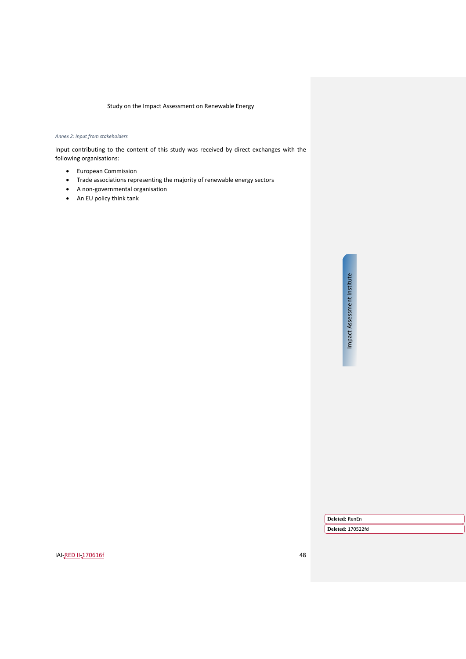#### <span id="page-47-0"></span>*Annex 2: Input from stakeholders*

Input contributing to the content of this study was received by direct exchanges with the following organisations:

- European Commission
- Trade associations representing the majority of renewable energy sectors
- A non-governmental organisation
- An EU policy think tank

Impact Assessment Institute Impact Assessment Institute

**Deleted:** RenEn

**Deleted:** 170522fd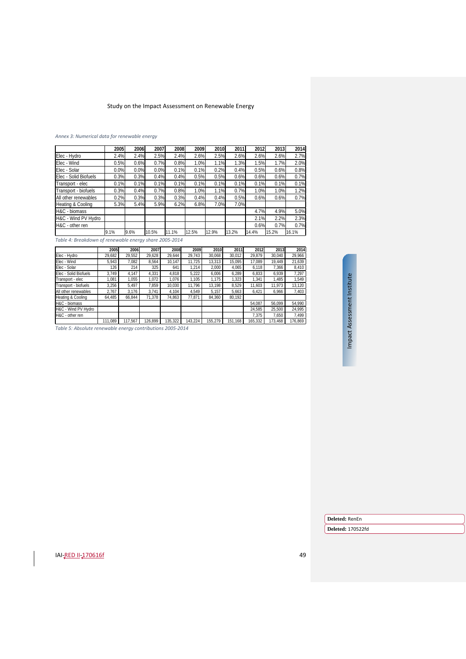#### <span id="page-48-0"></span>*Annex 3: Numerical data for renewable energy*

|                       | 2005 | 2006 | 2007  | 2008  | 2009  | 2010  | 2011  | 2012  | 2013  | 2014  |
|-----------------------|------|------|-------|-------|-------|-------|-------|-------|-------|-------|
| Elec - Hydro          | 2.4% | 2.4% | 2.5%  | 2.4%  | 2.6%  | 2.5%  | 2.6%  | 2.6%  | 2.6%  | 2.7%  |
| Elec - Wind           | 0.5% | 0.6% | 0.7%  | 0.8%  | 1.0%  | 1.1%  | 1.3%  | 1.5%  | 1.7%  | 2.0%  |
| Elec - Solar          | 0.0% | 0.0% | 0.0%  | 0.1%  | 0.1%  | 0.2%  | 0.4%  | 0.5%  | 0.6%  | 0.8%  |
| Elec - Solid Biofuels | 0.3% | 0.3% | 0.4%  | 0.4%  | 0.5%  | 0.5%  | 0.6%  | 0.6%  | 0.6%  | 0.7%  |
| Transport - elec      | 0.1% | 0.1% | 0.1%  | 0.1%  | 0.1%  | 0.1%  | 0.1%  | 0.1%  | 0.1%  | 0.1%  |
| Transport - biofuels  | 0.3% | 0.4% | 0.7%  | 0.8%  | 1.0%  | 1.1%  | 0.7%  | 1.0%  | 1.0%  | 1.2%  |
| All other renewables  | 0.2% | 0.3% | 0.3%  | 0.3%  | 0.4%  | 0.4%  | 0.5%  | 0.6%  | 0.6%  | 0.7%  |
| Heating & Cooling     | 5.3% | 5.4% | 5.9%  | 6.2%  | 6.8%  | 7.0%  | 7.0%  |       |       |       |
| H&C - biomass         |      |      |       |       |       |       |       | 4.7%  | 4.9%  | 5.0%  |
| H&C - Wind PV Hydro   |      |      |       |       |       |       |       | 2.1%  | 2.2%  | 2.3%  |
| H&C - other ren       |      |      |       |       |       |       |       | 0.6%  | 0.7%  | 0.7%  |
|                       | 9.1% | 9.6% | 10.5% | 11.1% | 12.5% | 12.9% | 13.2% | 14.4% | 15.2% | 16.1% |

*Table 4: Breakdown of renewable energy share 2005-2014*

|                       | 2005    | 2006    | 2007    | 2008    | 2009    | 2010    | 2011    | 2012    | 2013    | 2014    |
|-----------------------|---------|---------|---------|---------|---------|---------|---------|---------|---------|---------|
| Elec - Hydro          | 29,682  | 29,552  | 29,628  | 29.644  | 29,743  | 30.068  | 30,012  | 29,879  | 30,040  | 29,966  |
| Elec - Wind           | 5,943   | 7,082   | 8,564   | 10.147  | 11.725  | 13.313  | 15,095  | 17.089  | 19.449  | 21,639  |
| Elec - Solar          | 126     | 214     | 325     | 641     | 1,214   | 2,000   | 4,065   | 6,118   | 7,366   | 8,410   |
| Elec - Solid Biofuels | 3.749   | 4.147   | 4.331   | 4.818   | 5,222   | 6.006   | 6.289   | 6.833   | 6.939   | 7.297   |
| Transport - elec      | 1.081   | 1.055   | 1,072   | 1.076   | 1.105   | 1.175   | 1,323   | 1,341   | 1,485   | 1,549   |
| Transport - biofuels  | 3,256   | 5.497   | 7.859   | 10,030  | 11.796  | 13.198  | 8.529   | 11.603  | 11.973  | 13,120  |
| All other renewables  | 2,767   | 3,176   | 3.741   | 4.104   | 4.549   | 5.157   | 5.663   | 6,421   | 6,966   | 7,403   |
| Heating & Cooling     | 64,485  | 66.844  | 71,378  | 74.863  | 77.871  | 84.360  | 80.192  |         |         |         |
| H&C - biomass         |         |         |         |         |         |         |         | 54.087  | 56.099  | 54,990  |
| H&C - Wind PV Hydro   |         |         |         |         |         |         |         | 24,585  | 25,500  | 24,995  |
| H&C - other ren       |         |         |         |         |         |         |         | 7.375   | 7.650   | 7,499   |
|                       | 111.089 | 117.567 | 126.899 | 135,322 | 143.224 | 155.279 | 151,168 | 165,332 | 173,468 | 176,869 |

*Table 5: Absolute renewable energy contributions 2005-2014*

Impact Assessment Institute Impact Assessment Institute

**Deleted:** RenEn

**Deleted:** 170522fd

**IAI-<u>RED II-170616f</u>** 49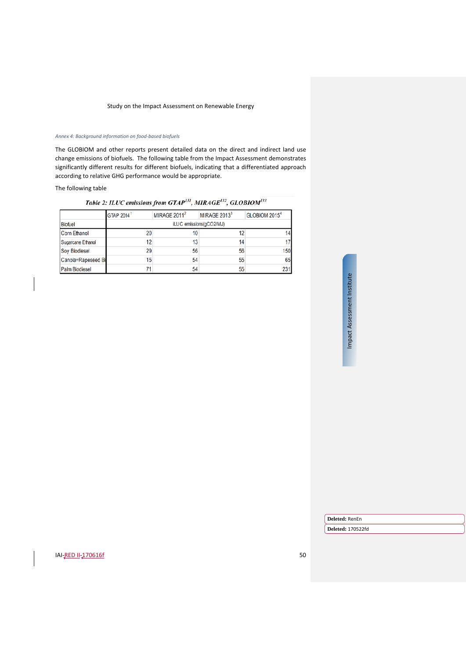#### <span id="page-49-0"></span>*Annex 4: Background information on food-based biofuels*

The GLOBIOM and other reports present detailed data on the direct and indirect land use change emissions of biofuels. The following table from the Impact Assessment demonstrates significantly different results for different biofuels, indicating that a differentiated approach according to relative GHG performance would be appropriate.

# The following table

# Table 2: ILUC emissions from GTAP<sup>131</sup>, MIRAGE<sup>132</sup>, GLOBIOM<sup>133</sup>

|                    | GTAP 2014               | MIRAGE 2011 <sup>2</sup> | MIRAGE 2013 <sup>3</sup> | GLOBIOM 2015 <sup>4</sup> |  |  |  |
|--------------------|-------------------------|--------------------------|--------------------------|---------------------------|--|--|--|
| <b>Biofuel</b>     | iLUC emissions(gCO2/MJ) |                          |                          |                           |  |  |  |
| Corn Ethanol       | 20                      | 10                       | 12                       |                           |  |  |  |
| Sugarcane Ethanol  | 12                      | 13                       | 14                       |                           |  |  |  |
| Soy Biodiesel      | 29                      | 56                       | 56                       | 150                       |  |  |  |
| Canola=Rapeseed Bi | 15                      | 54                       | 55                       | 65                        |  |  |  |
| Palm Biodiesel     | 71                      | 54                       | 55                       | 231                       |  |  |  |

# Impact Assessment Institute Impact Assessment Institute

**Deleted:** RenEn

**Deleted:** 170522fd